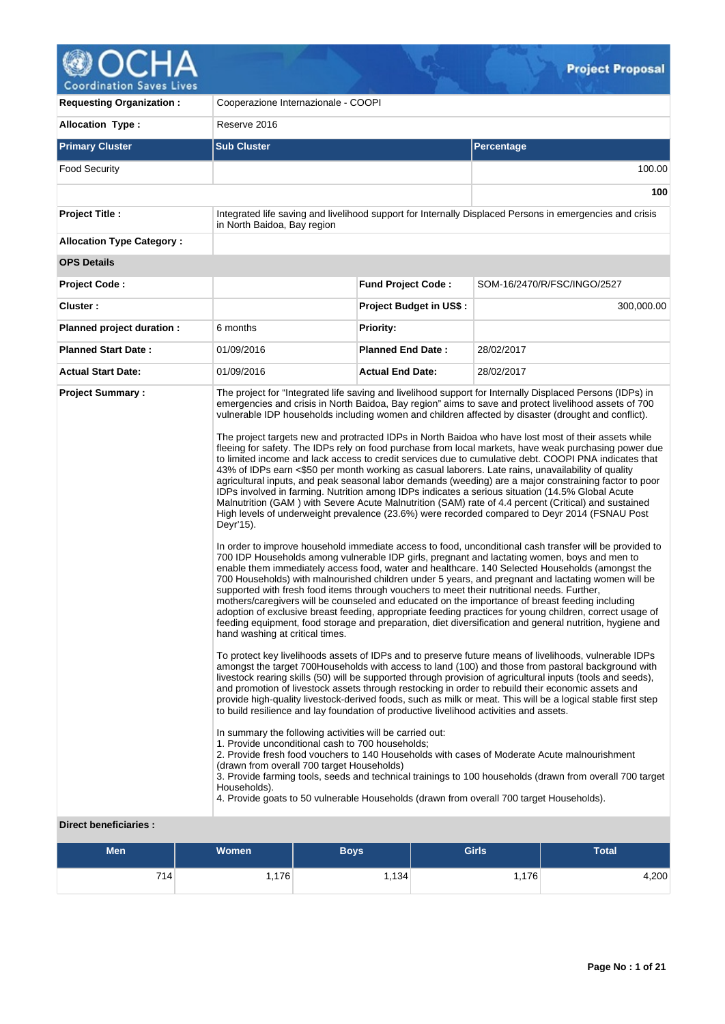

| <b>Requesting Organization:</b>  | Cooperazione Internazionale - COOPI                                                                                                                                                                                                                                                                                                                                                                                                                                                                            |                                |                                                                                                                                                                                                                                                                                                                                                                                                                                                                                                                                                                                                                                                                                                                                                                                                                                                                                                                                                                                                                                                                                                                                                                                                                                                                                                                                                                                                                                                                                                                                                                                                                                                                                                                                                                                                                                                                                                                                                                                                                                                                                                                                                                                                                                                                                                                                                                                                                                                                                                                                                                                     |
|----------------------------------|----------------------------------------------------------------------------------------------------------------------------------------------------------------------------------------------------------------------------------------------------------------------------------------------------------------------------------------------------------------------------------------------------------------------------------------------------------------------------------------------------------------|--------------------------------|-------------------------------------------------------------------------------------------------------------------------------------------------------------------------------------------------------------------------------------------------------------------------------------------------------------------------------------------------------------------------------------------------------------------------------------------------------------------------------------------------------------------------------------------------------------------------------------------------------------------------------------------------------------------------------------------------------------------------------------------------------------------------------------------------------------------------------------------------------------------------------------------------------------------------------------------------------------------------------------------------------------------------------------------------------------------------------------------------------------------------------------------------------------------------------------------------------------------------------------------------------------------------------------------------------------------------------------------------------------------------------------------------------------------------------------------------------------------------------------------------------------------------------------------------------------------------------------------------------------------------------------------------------------------------------------------------------------------------------------------------------------------------------------------------------------------------------------------------------------------------------------------------------------------------------------------------------------------------------------------------------------------------------------------------------------------------------------------------------------------------------------------------------------------------------------------------------------------------------------------------------------------------------------------------------------------------------------------------------------------------------------------------------------------------------------------------------------------------------------------------------------------------------------------------------------------------------------|
| <b>Allocation Type:</b>          | Reserve 2016                                                                                                                                                                                                                                                                                                                                                                                                                                                                                                   |                                |                                                                                                                                                                                                                                                                                                                                                                                                                                                                                                                                                                                                                                                                                                                                                                                                                                                                                                                                                                                                                                                                                                                                                                                                                                                                                                                                                                                                                                                                                                                                                                                                                                                                                                                                                                                                                                                                                                                                                                                                                                                                                                                                                                                                                                                                                                                                                                                                                                                                                                                                                                                     |
| <b>Primary Cluster</b>           | <b>Sub Cluster</b>                                                                                                                                                                                                                                                                                                                                                                                                                                                                                             |                                | <b>Percentage</b>                                                                                                                                                                                                                                                                                                                                                                                                                                                                                                                                                                                                                                                                                                                                                                                                                                                                                                                                                                                                                                                                                                                                                                                                                                                                                                                                                                                                                                                                                                                                                                                                                                                                                                                                                                                                                                                                                                                                                                                                                                                                                                                                                                                                                                                                                                                                                                                                                                                                                                                                                                   |
| <b>Food Security</b>             |                                                                                                                                                                                                                                                                                                                                                                                                                                                                                                                |                                | 100.00                                                                                                                                                                                                                                                                                                                                                                                                                                                                                                                                                                                                                                                                                                                                                                                                                                                                                                                                                                                                                                                                                                                                                                                                                                                                                                                                                                                                                                                                                                                                                                                                                                                                                                                                                                                                                                                                                                                                                                                                                                                                                                                                                                                                                                                                                                                                                                                                                                                                                                                                                                              |
|                                  |                                                                                                                                                                                                                                                                                                                                                                                                                                                                                                                |                                | 100                                                                                                                                                                                                                                                                                                                                                                                                                                                                                                                                                                                                                                                                                                                                                                                                                                                                                                                                                                                                                                                                                                                                                                                                                                                                                                                                                                                                                                                                                                                                                                                                                                                                                                                                                                                                                                                                                                                                                                                                                                                                                                                                                                                                                                                                                                                                                                                                                                                                                                                                                                                 |
| <b>Project Title:</b>            | in North Baidoa, Bay region                                                                                                                                                                                                                                                                                                                                                                                                                                                                                    |                                | Integrated life saving and livelihood support for Internally Displaced Persons in emergencies and crisis                                                                                                                                                                                                                                                                                                                                                                                                                                                                                                                                                                                                                                                                                                                                                                                                                                                                                                                                                                                                                                                                                                                                                                                                                                                                                                                                                                                                                                                                                                                                                                                                                                                                                                                                                                                                                                                                                                                                                                                                                                                                                                                                                                                                                                                                                                                                                                                                                                                                            |
| <b>Allocation Type Category:</b> |                                                                                                                                                                                                                                                                                                                                                                                                                                                                                                                |                                |                                                                                                                                                                                                                                                                                                                                                                                                                                                                                                                                                                                                                                                                                                                                                                                                                                                                                                                                                                                                                                                                                                                                                                                                                                                                                                                                                                                                                                                                                                                                                                                                                                                                                                                                                                                                                                                                                                                                                                                                                                                                                                                                                                                                                                                                                                                                                                                                                                                                                                                                                                                     |
| <b>OPS Details</b>               |                                                                                                                                                                                                                                                                                                                                                                                                                                                                                                                |                                |                                                                                                                                                                                                                                                                                                                                                                                                                                                                                                                                                                                                                                                                                                                                                                                                                                                                                                                                                                                                                                                                                                                                                                                                                                                                                                                                                                                                                                                                                                                                                                                                                                                                                                                                                                                                                                                                                                                                                                                                                                                                                                                                                                                                                                                                                                                                                                                                                                                                                                                                                                                     |
| <b>Project Code:</b>             |                                                                                                                                                                                                                                                                                                                                                                                                                                                                                                                | <b>Fund Project Code:</b>      | SOM-16/2470/R/FSC/INGO/2527                                                                                                                                                                                                                                                                                                                                                                                                                                                                                                                                                                                                                                                                                                                                                                                                                                                                                                                                                                                                                                                                                                                                                                                                                                                                                                                                                                                                                                                                                                                                                                                                                                                                                                                                                                                                                                                                                                                                                                                                                                                                                                                                                                                                                                                                                                                                                                                                                                                                                                                                                         |
| Cluster:                         |                                                                                                                                                                                                                                                                                                                                                                                                                                                                                                                | <b>Project Budget in US\$:</b> | 300,000.00                                                                                                                                                                                                                                                                                                                                                                                                                                                                                                                                                                                                                                                                                                                                                                                                                                                                                                                                                                                                                                                                                                                                                                                                                                                                                                                                                                                                                                                                                                                                                                                                                                                                                                                                                                                                                                                                                                                                                                                                                                                                                                                                                                                                                                                                                                                                                                                                                                                                                                                                                                          |
| Planned project duration :       | 6 months                                                                                                                                                                                                                                                                                                                                                                                                                                                                                                       | <b>Priority:</b>               |                                                                                                                                                                                                                                                                                                                                                                                                                                                                                                                                                                                                                                                                                                                                                                                                                                                                                                                                                                                                                                                                                                                                                                                                                                                                                                                                                                                                                                                                                                                                                                                                                                                                                                                                                                                                                                                                                                                                                                                                                                                                                                                                                                                                                                                                                                                                                                                                                                                                                                                                                                                     |
| <b>Planned Start Date:</b>       | 01/09/2016                                                                                                                                                                                                                                                                                                                                                                                                                                                                                                     | <b>Planned End Date:</b>       | 28/02/2017                                                                                                                                                                                                                                                                                                                                                                                                                                                                                                                                                                                                                                                                                                                                                                                                                                                                                                                                                                                                                                                                                                                                                                                                                                                                                                                                                                                                                                                                                                                                                                                                                                                                                                                                                                                                                                                                                                                                                                                                                                                                                                                                                                                                                                                                                                                                                                                                                                                                                                                                                                          |
| <b>Actual Start Date:</b>        | 01/09/2016                                                                                                                                                                                                                                                                                                                                                                                                                                                                                                     | <b>Actual End Date:</b>        | 28/02/2017                                                                                                                                                                                                                                                                                                                                                                                                                                                                                                                                                                                                                                                                                                                                                                                                                                                                                                                                                                                                                                                                                                                                                                                                                                                                                                                                                                                                                                                                                                                                                                                                                                                                                                                                                                                                                                                                                                                                                                                                                                                                                                                                                                                                                                                                                                                                                                                                                                                                                                                                                                          |
| Diract honoficiario              | Deyr'15).<br>supported with fresh food items through vouchers to meet their nutritional needs. Further,<br>hand washing at critical times.<br>to build resilience and lay foundation of productive livelihood activities and assets.<br>In summary the following activities will be carried out:<br>1. Provide unconditional cash to 700 households;<br>(drawn from overall 700 target Households)<br>Households).<br>4. Provide goats to 50 vulnerable Households (drawn from overall 700 target Households). |                                | emergencies and crisis in North Baidoa, Bay region" aims to save and protect livelihood assets of 700<br>vulnerable IDP households including women and children affected by disaster (drought and conflict).<br>The project targets new and protracted IDPs in North Baidoa who have lost most of their assets while<br>fleeing for safety. The IDPs rely on food purchase from local markets, have weak purchasing power due<br>to limited income and lack access to credit services due to cumulative debt. COOPI PNA indicates that<br>43% of IDPs earn <\$50 per month working as casual laborers. Late rains, unavailability of quality<br>agricultural inputs, and peak seasonal labor demands (weeding) are a major constraining factor to poor<br>IDPs involved in farming. Nutrition among IDPs indicates a serious situation (14.5% Global Acute<br>Malnutrition (GAM) with Severe Acute Malnutrition (SAM) rate of 4.4 percent (Critical) and sustained<br>High levels of underweight prevalence (23.6%) were recorded compared to Deyr 2014 (FSNAU Post<br>In order to improve household immediate access to food, unconditional cash transfer will be provided to<br>700 IDP Households among vulnerable IDP girls, pregnant and lactating women, boys and men to<br>enable them immediately access food, water and healthcare. 140 Selected Households (amongst the<br>700 Households) with malnourished children under 5 years, and pregnant and lactating women will be<br>mothers/caregivers will be counseled and educated on the importance of breast feeding including<br>adoption of exclusive breast feeding, appropriate feeding practices for young children, correct usage of<br>feeding equipment, food storage and preparation, diet diversification and general nutrition, hygiene and<br>To protect key livelihoods assets of IDPs and to preserve future means of livelihoods, vulnerable IDPs<br>amongst the target 700Households with access to land (100) and those from pastoral background with<br>livestock rearing skills (50) will be supported through provision of agricultural inputs (tools and seeds),<br>and promotion of livestock assets through restocking in order to rebuild their economic assets and<br>provide high-quality livestock-derived foods, such as milk or meat. This will be a logical stable first step<br>2. Provide fresh food vouchers to 140 Households with cases of Moderate Acute malnourishment<br>3. Provide farming tools, seeds and technical trainings to 100 households (drawn from overall 700 target |

 $\mathcal{G}_\mathcal{F}$ 

#### **Direct beneficiaries :**

| Men | <b>Women</b> | <b>Boys</b> | <b>Girls</b> | <b>Total</b> |
|-----|--------------|-------------|--------------|--------------|
| 714 | ∫176,،       | 1,134       | 1,176        | 4,200        |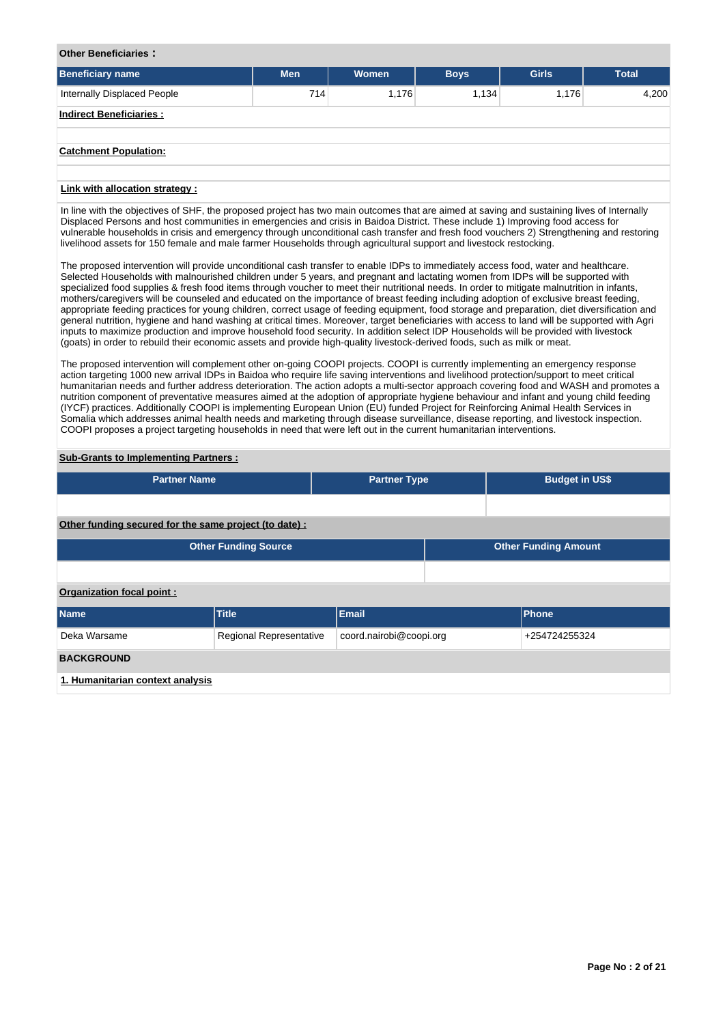| <b>Other Beneficiaries:</b>                                                                                                                                                                                                                                                                                                                                                                                                                                                                                                                                                                                                                                                                                                                                                                                                                                                                                                                                                                                                                                                                                                                                                                                                                                                                                                                                                                                                                                                                                                                                                                                                                                                                                                                                                                                                                                                                                                                                                                                                                                                                                                                                                                                                                                                                                                                                                                    |                             |                         |             |                             |              |  |  |  |  |
|------------------------------------------------------------------------------------------------------------------------------------------------------------------------------------------------------------------------------------------------------------------------------------------------------------------------------------------------------------------------------------------------------------------------------------------------------------------------------------------------------------------------------------------------------------------------------------------------------------------------------------------------------------------------------------------------------------------------------------------------------------------------------------------------------------------------------------------------------------------------------------------------------------------------------------------------------------------------------------------------------------------------------------------------------------------------------------------------------------------------------------------------------------------------------------------------------------------------------------------------------------------------------------------------------------------------------------------------------------------------------------------------------------------------------------------------------------------------------------------------------------------------------------------------------------------------------------------------------------------------------------------------------------------------------------------------------------------------------------------------------------------------------------------------------------------------------------------------------------------------------------------------------------------------------------------------------------------------------------------------------------------------------------------------------------------------------------------------------------------------------------------------------------------------------------------------------------------------------------------------------------------------------------------------------------------------------------------------------------------------------------------------|-----------------------------|-------------------------|-------------|-----------------------------|--------------|--|--|--|--|
| <b>Beneficiary name</b>                                                                                                                                                                                                                                                                                                                                                                                                                                                                                                                                                                                                                                                                                                                                                                                                                                                                                                                                                                                                                                                                                                                                                                                                                                                                                                                                                                                                                                                                                                                                                                                                                                                                                                                                                                                                                                                                                                                                                                                                                                                                                                                                                                                                                                                                                                                                                                        | Men                         | Women                   | <b>Boys</b> | <b>Girls</b>                | <b>Total</b> |  |  |  |  |
| Internally Displaced People                                                                                                                                                                                                                                                                                                                                                                                                                                                                                                                                                                                                                                                                                                                                                                                                                                                                                                                                                                                                                                                                                                                                                                                                                                                                                                                                                                                                                                                                                                                                                                                                                                                                                                                                                                                                                                                                                                                                                                                                                                                                                                                                                                                                                                                                                                                                                                    | 714                         | 1,176                   | 1,134       | 1,176<br>4,200              |              |  |  |  |  |
| <b>Indirect Beneficiaries:</b>                                                                                                                                                                                                                                                                                                                                                                                                                                                                                                                                                                                                                                                                                                                                                                                                                                                                                                                                                                                                                                                                                                                                                                                                                                                                                                                                                                                                                                                                                                                                                                                                                                                                                                                                                                                                                                                                                                                                                                                                                                                                                                                                                                                                                                                                                                                                                                 |                             |                         |             |                             |              |  |  |  |  |
|                                                                                                                                                                                                                                                                                                                                                                                                                                                                                                                                                                                                                                                                                                                                                                                                                                                                                                                                                                                                                                                                                                                                                                                                                                                                                                                                                                                                                                                                                                                                                                                                                                                                                                                                                                                                                                                                                                                                                                                                                                                                                                                                                                                                                                                                                                                                                                                                |                             |                         |             |                             |              |  |  |  |  |
| <b>Catchment Population:</b>                                                                                                                                                                                                                                                                                                                                                                                                                                                                                                                                                                                                                                                                                                                                                                                                                                                                                                                                                                                                                                                                                                                                                                                                                                                                                                                                                                                                                                                                                                                                                                                                                                                                                                                                                                                                                                                                                                                                                                                                                                                                                                                                                                                                                                                                                                                                                                   |                             |                         |             |                             |              |  |  |  |  |
|                                                                                                                                                                                                                                                                                                                                                                                                                                                                                                                                                                                                                                                                                                                                                                                                                                                                                                                                                                                                                                                                                                                                                                                                                                                                                                                                                                                                                                                                                                                                                                                                                                                                                                                                                                                                                                                                                                                                                                                                                                                                                                                                                                                                                                                                                                                                                                                                |                             |                         |             |                             |              |  |  |  |  |
| Link with allocation strategy :                                                                                                                                                                                                                                                                                                                                                                                                                                                                                                                                                                                                                                                                                                                                                                                                                                                                                                                                                                                                                                                                                                                                                                                                                                                                                                                                                                                                                                                                                                                                                                                                                                                                                                                                                                                                                                                                                                                                                                                                                                                                                                                                                                                                                                                                                                                                                                |                             |                         |             |                             |              |  |  |  |  |
| In line with the objectives of SHF, the proposed project has two main outcomes that are aimed at saving and sustaining lives of Internally<br>Displaced Persons and host communities in emergencies and crisis in Baidoa District. These include 1) Improving food access for<br>vulnerable households in crisis and emergency through unconditional cash transfer and fresh food vouchers 2) Strengthening and restoring<br>livelihood assets for 150 female and male farmer Households through agricultural support and livestock restocking.<br>The proposed intervention will provide unconditional cash transfer to enable IDPs to immediately access food, water and healthcare.<br>Selected Households with malnourished children under 5 years, and pregnant and lactating women from IDPs will be supported with<br>specialized food supplies & fresh food items through voucher to meet their nutritional needs. In order to mitigate malnutrition in infants,<br>mothers/caregivers will be counseled and educated on the importance of breast feeding including adoption of exclusive breast feeding,<br>appropriate feeding practices for young children, correct usage of feeding equipment, food storage and preparation, diet diversification and<br>general nutrition, hygiene and hand washing at critical times. Moreover, target beneficiaries with access to land will be supported with Agri<br>inputs to maximize production and improve household food security. In addition select IDP Households will be provided with livestock<br>(goats) in order to rebuild their economic assets and provide high-quality livestock-derived foods, such as milk or meat.<br>The proposed intervention will complement other on-going COOPI projects. COOPI is currently implementing an emergency response<br>action targeting 1000 new arrival IDPs in Baidoa who require life saving interventions and livelihood protection/support to meet critical<br>humanitarian needs and further address deterioration. The action adopts a multi-sector approach covering food and WASH and promotes a<br>nutrition component of preventative measures aimed at the adoption of appropriate hygiene behaviour and infant and young child feeding<br>(IYCF) practices. Additionally COOPI is implementing European Union (EU) funded Project for Reinforcing Animal Health Services in |                             |                         |             |                             |              |  |  |  |  |
| Somalia which addresses animal health needs and marketing through disease surveillance, disease reporting, and livestock inspection.<br>COOPI proposes a project targeting households in need that were left out in the current humanitarian interventions.                                                                                                                                                                                                                                                                                                                                                                                                                                                                                                                                                                                                                                                                                                                                                                                                                                                                                                                                                                                                                                                                                                                                                                                                                                                                                                                                                                                                                                                                                                                                                                                                                                                                                                                                                                                                                                                                                                                                                                                                                                                                                                                                    |                             |                         |             |                             |              |  |  |  |  |
| <b>Sub-Grants to Implementing Partners:</b>                                                                                                                                                                                                                                                                                                                                                                                                                                                                                                                                                                                                                                                                                                                                                                                                                                                                                                                                                                                                                                                                                                                                                                                                                                                                                                                                                                                                                                                                                                                                                                                                                                                                                                                                                                                                                                                                                                                                                                                                                                                                                                                                                                                                                                                                                                                                                    |                             |                         |             |                             |              |  |  |  |  |
| <b>Partner Name</b>                                                                                                                                                                                                                                                                                                                                                                                                                                                                                                                                                                                                                                                                                                                                                                                                                                                                                                                                                                                                                                                                                                                                                                                                                                                                                                                                                                                                                                                                                                                                                                                                                                                                                                                                                                                                                                                                                                                                                                                                                                                                                                                                                                                                                                                                                                                                                                            |                             | <b>Partner Type</b>     |             | <b>Budget in US\$</b>       |              |  |  |  |  |
|                                                                                                                                                                                                                                                                                                                                                                                                                                                                                                                                                                                                                                                                                                                                                                                                                                                                                                                                                                                                                                                                                                                                                                                                                                                                                                                                                                                                                                                                                                                                                                                                                                                                                                                                                                                                                                                                                                                                                                                                                                                                                                                                                                                                                                                                                                                                                                                                |                             |                         |             |                             |              |  |  |  |  |
| Other funding secured for the same project (to date) :                                                                                                                                                                                                                                                                                                                                                                                                                                                                                                                                                                                                                                                                                                                                                                                                                                                                                                                                                                                                                                                                                                                                                                                                                                                                                                                                                                                                                                                                                                                                                                                                                                                                                                                                                                                                                                                                                                                                                                                                                                                                                                                                                                                                                                                                                                                                         |                             |                         |             |                             |              |  |  |  |  |
|                                                                                                                                                                                                                                                                                                                                                                                                                                                                                                                                                                                                                                                                                                                                                                                                                                                                                                                                                                                                                                                                                                                                                                                                                                                                                                                                                                                                                                                                                                                                                                                                                                                                                                                                                                                                                                                                                                                                                                                                                                                                                                                                                                                                                                                                                                                                                                                                | <b>Other Funding Source</b> |                         |             | <b>Other Funding Amount</b> |              |  |  |  |  |
|                                                                                                                                                                                                                                                                                                                                                                                                                                                                                                                                                                                                                                                                                                                                                                                                                                                                                                                                                                                                                                                                                                                                                                                                                                                                                                                                                                                                                                                                                                                                                                                                                                                                                                                                                                                                                                                                                                                                                                                                                                                                                                                                                                                                                                                                                                                                                                                                |                             |                         |             |                             |              |  |  |  |  |
| Organization focal point :                                                                                                                                                                                                                                                                                                                                                                                                                                                                                                                                                                                                                                                                                                                                                                                                                                                                                                                                                                                                                                                                                                                                                                                                                                                                                                                                                                                                                                                                                                                                                                                                                                                                                                                                                                                                                                                                                                                                                                                                                                                                                                                                                                                                                                                                                                                                                                     |                             |                         |             |                             |              |  |  |  |  |
| <b>Name</b>                                                                                                                                                                                                                                                                                                                                                                                                                                                                                                                                                                                                                                                                                                                                                                                                                                                                                                                                                                                                                                                                                                                                                                                                                                                                                                                                                                                                                                                                                                                                                                                                                                                                                                                                                                                                                                                                                                                                                                                                                                                                                                                                                                                                                                                                                                                                                                                    | <b>Title</b>                | <b>Email</b>            |             | Phone                       |              |  |  |  |  |
| Deka Warsame                                                                                                                                                                                                                                                                                                                                                                                                                                                                                                                                                                                                                                                                                                                                                                                                                                                                                                                                                                                                                                                                                                                                                                                                                                                                                                                                                                                                                                                                                                                                                                                                                                                                                                                                                                                                                                                                                                                                                                                                                                                                                                                                                                                                                                                                                                                                                                                   | Regional Representative     | coord.nairobi@coopi.org |             | +254724255324               |              |  |  |  |  |
| <b>BACKGROUND</b>                                                                                                                                                                                                                                                                                                                                                                                                                                                                                                                                                                                                                                                                                                                                                                                                                                                                                                                                                                                                                                                                                                                                                                                                                                                                                                                                                                                                                                                                                                                                                                                                                                                                                                                                                                                                                                                                                                                                                                                                                                                                                                                                                                                                                                                                                                                                                                              |                             |                         |             |                             |              |  |  |  |  |
| 1. Humanitarian context analysis                                                                                                                                                                                                                                                                                                                                                                                                                                                                                                                                                                                                                                                                                                                                                                                                                                                                                                                                                                                                                                                                                                                                                                                                                                                                                                                                                                                                                                                                                                                                                                                                                                                                                                                                                                                                                                                                                                                                                                                                                                                                                                                                                                                                                                                                                                                                                               |                             |                         |             |                             |              |  |  |  |  |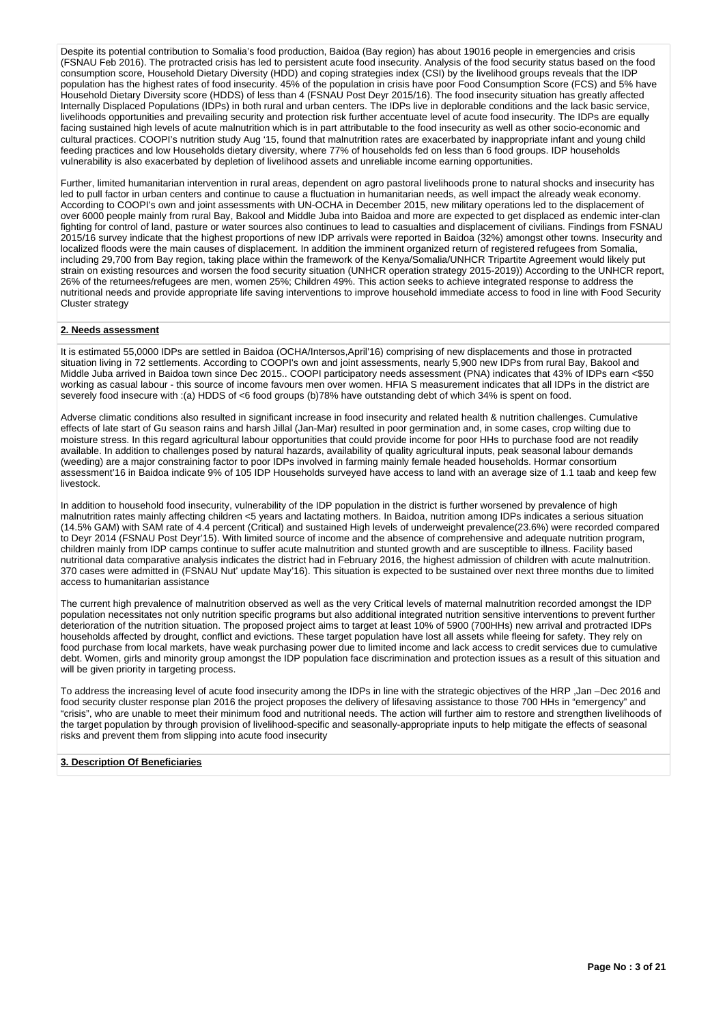Despite its potential contribution to Somalia's food production, Baidoa (Bay region) has about 19016 people in emergencies and crisis (FSNAU Feb 2016). The protracted crisis has led to persistent acute food insecurity. Analysis of the food security status based on the food consumption score, Household Dietary Diversity (HDD) and coping strategies index (CSI) by the livelihood groups reveals that the IDP population has the highest rates of food insecurity. 45% of the population in crisis have poor Food Consumption Score (FCS) and 5% have Household Dietary Diversity score (HDDS) of less than 4 (FSNAU Post Deyr 2015/16). The food insecurity situation has greatly affected Internally Displaced Populations (IDPs) in both rural and urban centers. The IDPs live in deplorable conditions and the lack basic service, livelihoods opportunities and prevailing security and protection risk further accentuate level of acute food insecurity. The IDPs are equally facing sustained high levels of acute malnutrition which is in part attributable to the food insecurity as well as other socio-economic and cultural practices. COOPI's nutrition study Aug '15, found that malnutrition rates are exacerbated by inappropriate infant and young child feeding practices and low Households dietary diversity, where 77% of households fed on less than 6 food groups. IDP households vulnerability is also exacerbated by depletion of livelihood assets and unreliable income earning opportunities.

Further, limited humanitarian intervention in rural areas, dependent on agro pastoral livelihoods prone to natural shocks and insecurity has led to pull factor in urban centers and continue to cause a fluctuation in humanitarian needs, as well impact the already weak economy. According to COOPI's own and joint assessments with UN-OCHA in December 2015, new military operations led to the displacement of over 6000 people mainly from rural Bay, Bakool and Middle Juba into Baidoa and more are expected to get displaced as endemic inter-clan fighting for control of land, pasture or water sources also continues to lead to casualties and displacement of civilians. Findings from FSNAU 2015/16 survey indicate that the highest proportions of new IDP arrivals were reported in Baidoa (32%) amongst other towns. Insecurity and localized floods were the main causes of displacement. In addition the imminent organized return of registered refugees from Somalia, including 29,700 from Bay region, taking place within the framework of the Kenya/Somalia/UNHCR Tripartite Agreement would likely put strain on existing resources and worsen the food security situation (UNHCR operation strategy 2015-2019)) According to the UNHCR report, 26% of the returnees/refugees are men, women 25%; Children 49%. This action seeks to achieve integrated response to address the nutritional needs and provide appropriate life saving interventions to improve household immediate access to food in line with Food Security Cluster strategy

#### **2. Needs assessment**

It is estimated 55,0000 IDPs are settled in Baidoa (OCHA/Intersos,April'16) comprising of new displacements and those in protracted situation living in 72 settlements. According to COOPI's own and joint assessments, nearly 5,900 new IDPs from rural Bay, Bakool and Middle Juba arrived in Baidoa town since Dec 2015.. COOPI participatory needs assessment (PNA) indicates that 43% of IDPs earn <\$50 working as casual labour - this source of income favours men over women. HFIA S measurement indicates that all IDPs in the district are severely food insecure with :(a) HDDS of <6 food groups (b)78% have outstanding debt of which 34% is spent on food.

Adverse climatic conditions also resulted in significant increase in food insecurity and related health & nutrition challenges. Cumulative effects of late start of Gu season rains and harsh Jillal (Jan-Mar) resulted in poor germination and, in some cases, crop wilting due to moisture stress. In this regard agricultural labour opportunities that could provide income for poor HHs to purchase food are not readily available. In addition to challenges posed by natural hazards, availability of quality agricultural inputs, peak seasonal labour demands (weeding) are a major constraining factor to poor IDPs involved in farming mainly female headed households. Hormar consortium assessment'16 in Baidoa indicate 9% of 105 IDP Households surveyed have access to land with an average size of 1.1 taab and keep few livestock.

In addition to household food insecurity, vulnerability of the IDP population in the district is further worsened by prevalence of high malnutrition rates mainly affecting children <5 years and lactating mothers. In Baidoa, nutrition among IDPs indicates a serious situation (14.5% GAM) with SAM rate of 4.4 percent (Critical) and sustained High levels of underweight prevalence(23.6%) were recorded compared to Deyr 2014 (FSNAU Post Deyr'15). With limited source of income and the absence of comprehensive and adequate nutrition program, children mainly from IDP camps continue to suffer acute malnutrition and stunted growth and are susceptible to illness. Facility based nutritional data comparative analysis indicates the district had in February 2016, the highest admission of children with acute malnutrition. 370 cases were admitted in (FSNAU Nut' update May'16). This situation is expected to be sustained over next three months due to limited access to humanitarian assistance

The current high prevalence of malnutrition observed as well as the very Critical levels of maternal malnutrition recorded amongst the IDP population necessitates not only nutrition specific programs but also additional integrated nutrition sensitive interventions to prevent further deterioration of the nutrition situation. The proposed project aims to target at least 10% of 5900 (700HHs) new arrival and protracted IDPs households affected by drought, conflict and evictions. These target population have lost all assets while fleeing for safety. They rely on food purchase from local markets, have weak purchasing power due to limited income and lack access to credit services due to cumulative debt. Women, girls and minority group amongst the IDP population face discrimination and protection issues as a result of this situation and will be given priority in targeting process.

To address the increasing level of acute food insecurity among the IDPs in line with the strategic objectives of the HRP ,Jan –Dec 2016 and food security cluster response plan 2016 the project proposes the delivery of lifesaving assistance to those 700 HHs in "emergency" and "crisis", who are unable to meet their minimum food and nutritional needs. The action will further aim to restore and strengthen livelihoods of the target population by through provision of livelihood-specific and seasonally-appropriate inputs to help mitigate the effects of seasonal risks and prevent them from slipping into acute food insecurity

#### **3. Description Of Beneficiaries**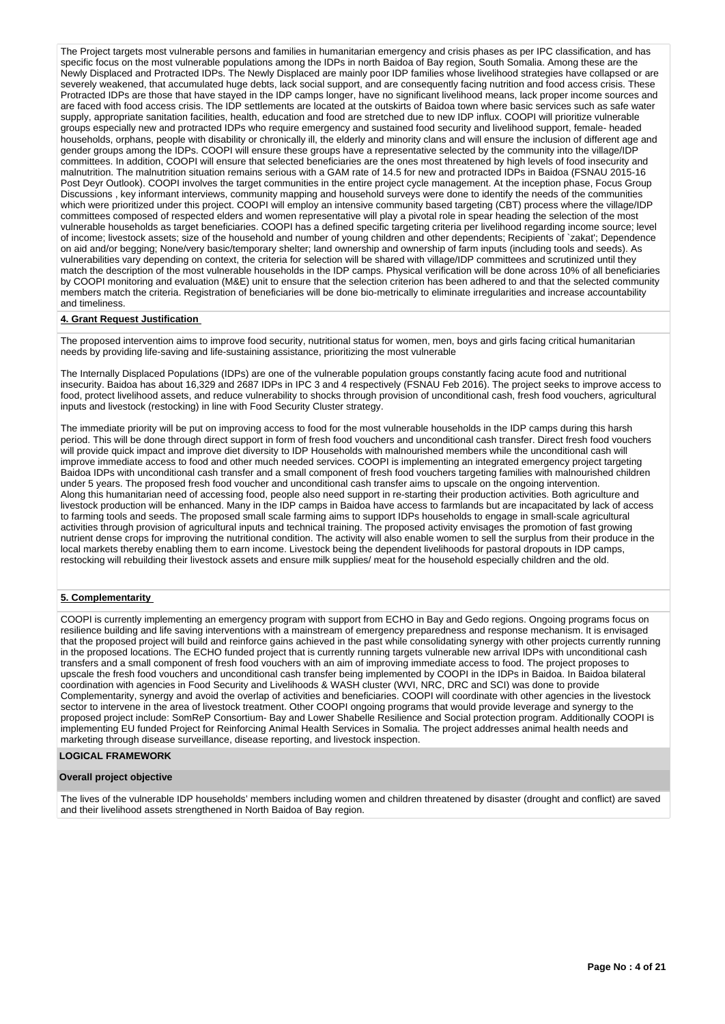The Project targets most vulnerable persons and families in humanitarian emergency and crisis phases as per IPC classification, and has specific focus on the most vulnerable populations among the IDPs in north Baidoa of Bay region, South Somalia. Among these are the Newly Displaced and Protracted IDPs. The Newly Displaced are mainly poor IDP families whose livelihood strategies have collapsed or are severely weakened, that accumulated huge debts, lack social support, and are consequently facing nutrition and food access crisis. These Protracted IDPs are those that have stayed in the IDP camps longer, have no significant livelihood means, lack proper income sources and are faced with food access crisis. The IDP settlements are located at the outskirts of Baidoa town where basic services such as safe water supply, appropriate sanitation facilities, health, education and food are stretched due to new IDP influx. COOPI will prioritize vulnerable groups especially new and protracted IDPs who require emergency and sustained food security and livelihood support, female- headed households, orphans, people with disability or chronically ill, the elderly and minority clans and will ensure the inclusion of different age and gender groups among the IDPs. COOPI will ensure these groups have a representative selected by the community into the village/IDP committees. In addition, COOPI will ensure that selected beneficiaries are the ones most threatened by high levels of food insecurity and malnutrition. The malnutrition situation remains serious with a GAM rate of 14.5 for new and protracted IDPs in Baidoa (FSNAU 2015-16 Post Deyr Outlook). COOPI involves the target communities in the entire project cycle management. At the inception phase, Focus Group Discussions , key informant interviews, community mapping and household surveys were done to identify the needs of the communities which were prioritized under this project. COOPI will employ an intensive community based targeting (CBT) process where the village/IDP committees composed of respected elders and women representative will play a pivotal role in spear heading the selection of the most vulnerable households as target beneficiaries. COOPI has a defined specific targeting criteria per livelihood regarding income source; level of income; livestock assets; size of the household and number of young children and other dependents; Recipients of `zakat'; Dependence on aid and/or begging; None/very basic/temporary shelter; land ownership and ownership of farm inputs (including tools and seeds). As vulnerabilities vary depending on context, the criteria for selection will be shared with village/IDP committees and scrutinized until they match the description of the most vulnerable households in the IDP camps. Physical verification will be done across 10% of all beneficiaries by COOPI monitoring and evaluation (M&E) unit to ensure that the selection criterion has been adhered to and that the selected community members match the criteria. Registration of beneficiaries will be done bio-metrically to eliminate irregularities and increase accountability and timeliness.

#### **4. Grant Request Justification**

The proposed intervention aims to improve food security, nutritional status for women, men, boys and girls facing critical humanitarian needs by providing life-saving and life-sustaining assistance, prioritizing the most vulnerable

The Internally Displaced Populations (IDPs) are one of the vulnerable population groups constantly facing acute food and nutritional insecurity. Baidoa has about 16,329 and 2687 IDPs in IPC 3 and 4 respectively (FSNAU Feb 2016). The project seeks to improve access to food, protect livelihood assets, and reduce vulnerability to shocks through provision of unconditional cash, fresh food vouchers, agricultural inputs and livestock (restocking) in line with Food Security Cluster strategy.

The immediate priority will be put on improving access to food for the most vulnerable households in the IDP camps during this harsh period. This will be done through direct support in form of fresh food vouchers and unconditional cash transfer. Direct fresh food vouchers will provide quick impact and improve diet diversity to IDP Households with malnourished members while the unconditional cash will improve immediate access to food and other much needed services. COOPI is implementing an integrated emergency project targeting Baidoa IDPs with unconditional cash transfer and a small component of fresh food vouchers targeting families with malnourished children under 5 years. The proposed fresh food voucher and unconditional cash transfer aims to upscale on the ongoing intervention. Along this humanitarian need of accessing food, people also need support in re-starting their production activities. Both agriculture and livestock production will be enhanced. Many in the IDP camps in Baidoa have access to farmlands but are incapacitated by lack of access to farming tools and seeds. The proposed small scale farming aims to support IDPs households to engage in small-scale agricultural activities through provision of agricultural inputs and technical training. The proposed activity envisages the promotion of fast growing nutrient dense crops for improving the nutritional condition. The activity will also enable women to sell the surplus from their produce in the local markets thereby enabling them to earn income. Livestock being the dependent livelihoods for pastoral dropouts in IDP camps, restocking will rebuilding their livestock assets and ensure milk supplies/ meat for the household especially children and the old.

#### **5. Complementarity**

COOPI is currently implementing an emergency program with support from ECHO in Bay and Gedo regions. Ongoing programs focus on resilience building and life saving interventions with a mainstream of emergency preparedness and response mechanism. It is envisaged that the proposed project will build and reinforce gains achieved in the past while consolidating synergy with other projects currently running in the proposed locations. The ECHO funded project that is currently running targets vulnerable new arrival IDPs with unconditional cash transfers and a small component of fresh food vouchers with an aim of improving immediate access to food. The project proposes to upscale the fresh food vouchers and unconditional cash transfer being implemented by COOPI in the IDPs in Baidoa. In Baidoa bilateral coordination with agencies in Food Security and Livelihoods & WASH cluster (WVI, NRC, DRC and SCI) was done to provide Complementarity, synergy and avoid the overlap of activities and beneficiaries. COOPI will coordinate with other agencies in the livestock sector to intervene in the area of livestock treatment. Other COOPI ongoing programs that would provide leverage and synergy to the proposed project include: SomReP Consortium- Bay and Lower Shabelle Resilience and Social protection program. Additionally COOPI is implementing EU funded Project for Reinforcing Animal Health Services in Somalia. The project addresses animal health needs and marketing through disease surveillance, disease reporting, and livestock inspection.

### **LOGICAL FRAMEWORK**

#### **Overall project objective**

The lives of the vulnerable IDP households' members including women and children threatened by disaster (drought and conflict) are saved and their livelihood assets strengthened in North Baidoa of Bay region.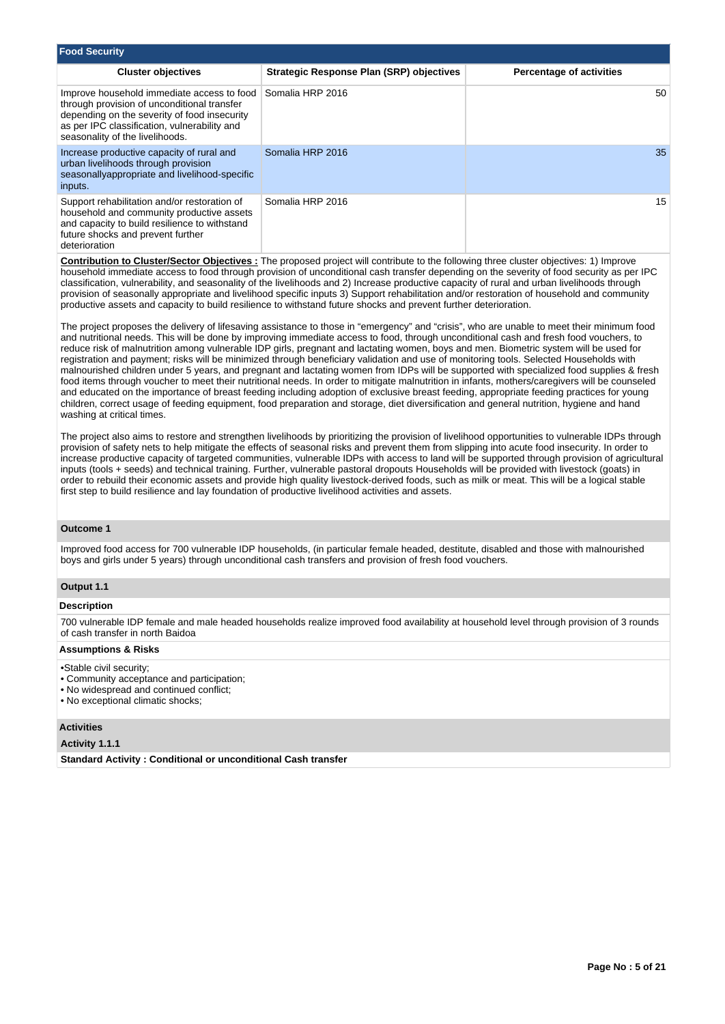| <b>Food Security</b>                                                                                                                                                                                                         |                                                 |                                 |
|------------------------------------------------------------------------------------------------------------------------------------------------------------------------------------------------------------------------------|-------------------------------------------------|---------------------------------|
| <b>Cluster objectives</b>                                                                                                                                                                                                    | <b>Strategic Response Plan (SRP) objectives</b> | <b>Percentage of activities</b> |
| Improve household immediate access to food<br>through provision of unconditional transfer<br>depending on the severity of food insecurity<br>as per IPC classification, vulnerability and<br>seasonality of the livelihoods. | Somalia HRP 2016                                | 50                              |
| Increase productive capacity of rural and<br>urban livelihoods through provision<br>seasonallyappropriate and livelihood-specific<br>inputs.                                                                                 | Somalia HRP 2016                                | 35                              |
| Support rehabilitation and/or restoration of<br>household and community productive assets<br>and capacity to build resilience to withstand<br>future shocks and prevent further<br>deterioration                             | Somalia HRP 2016                                | 15                              |

**Contribution to Cluster/Sector Objectives :** The proposed project will contribute to the following three cluster objectives: 1) Improve household immediate access to food through provision of unconditional cash transfer depending on the severity of food security as per IPC classification, vulnerability, and seasonality of the livelihoods and 2) Increase productive capacity of rural and urban livelihoods through provision of seasonally appropriate and livelihood specific inputs 3) Support rehabilitation and/or restoration of household and community productive assets and capacity to build resilience to withstand future shocks and prevent further deterioration.

The project proposes the delivery of lifesaving assistance to those in "emergency" and "crisis", who are unable to meet their minimum food and nutritional needs. This will be done by improving immediate access to food, through unconditional cash and fresh food vouchers, to reduce risk of malnutrition among vulnerable IDP girls, pregnant and lactating women, boys and men. Biometric system will be used for registration and payment; risks will be minimized through beneficiary validation and use of monitoring tools. Selected Households with malnourished children under 5 years, and pregnant and lactating women from IDPs will be supported with specialized food supplies & fresh food items through voucher to meet their nutritional needs. In order to mitigate malnutrition in infants, mothers/caregivers will be counseled and educated on the importance of breast feeding including adoption of exclusive breast feeding, appropriate feeding practices for young children, correct usage of feeding equipment, food preparation and storage, diet diversification and general nutrition, hygiene and hand washing at critical times.

The project also aims to restore and strengthen livelihoods by prioritizing the provision of livelihood opportunities to vulnerable IDPs through provision of safety nets to help mitigate the effects of seasonal risks and prevent them from slipping into acute food insecurity. In order to increase productive capacity of targeted communities, vulnerable IDPs with access to land will be supported through provision of agricultural inputs (tools + seeds) and technical training. Further, vulnerable pastoral dropouts Households will be provided with livestock (goats) in order to rebuild their economic assets and provide high quality livestock-derived foods, such as milk or meat. This will be a logical stable first step to build resilience and lay foundation of productive livelihood activities and assets.

### **Outcome 1**

Improved food access for 700 vulnerable IDP households, (in particular female headed, destitute, disabled and those with malnourished boys and girls under 5 years) through unconditional cash transfers and provision of fresh food vouchers.

#### **Output 1.1**

#### **Description**

700 vulnerable IDP female and male headed households realize improved food availability at household level through provision of 3 rounds of cash transfer in north Baidoa

## **Assumptions & Risks**

•Stable civil security;

- Community acceptance and participation;
- No widespread and continued conflict;
- No exceptional climatic shocks;

# **Activities**

# **Activity 1.1.1**

**Standard Activity : Conditional or unconditional Cash transfer**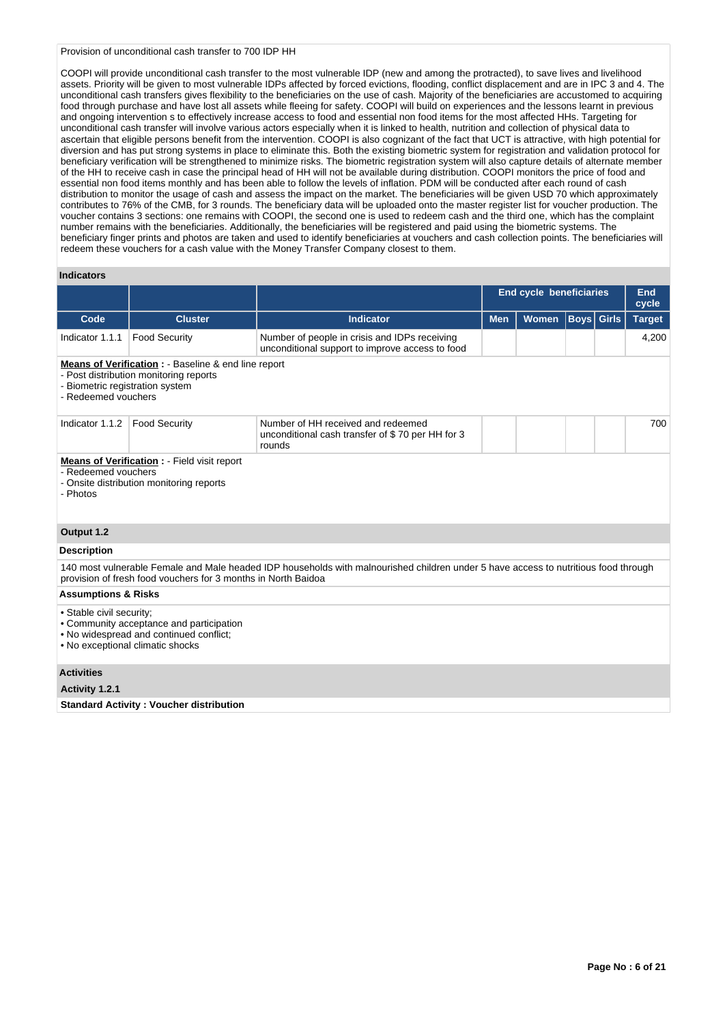COOPI will provide unconditional cash transfer to the most vulnerable IDP (new and among the protracted), to save lives and livelihood assets. Priority will be given to most vulnerable IDPs affected by forced evictions, flooding, conflict displacement and are in IPC 3 and 4. The unconditional cash transfers gives flexibility to the beneficiaries on the use of cash. Majority of the beneficiaries are accustomed to acquiring food through purchase and have lost all assets while fleeing for safety. COOPI will build on experiences and the lessons learnt in previous and ongoing intervention s to effectively increase access to food and essential non food items for the most affected HHs. Targeting for unconditional cash transfer will involve various actors especially when it is linked to health, nutrition and collection of physical data to ascertain that eligible persons benefit from the intervention. COOPI is also cognizant of the fact that UCT is attractive, with high potential for diversion and has put strong systems in place to eliminate this. Both the existing biometric system for registration and validation protocol for beneficiary verification will be strengthened to minimize risks. The biometric registration system will also capture details of alternate member of the HH to receive cash in case the principal head of HH will not be available during distribution. COOPI monitors the price of food and essential non food items monthly and has been able to follow the levels of inflation. PDM will be conducted after each round of cash distribution to monitor the usage of cash and assess the impact on the market. The beneficiaries will be given USD 70 which approximately contributes to 76% of the CMB, for 3 rounds. The beneficiary data will be uploaded onto the master register list for voucher production. The voucher contains 3 sections: one remains with COOPI, the second one is used to redeem cash and the third one, which has the complaint number remains with the beneficiaries. Additionally, the beneficiaries will be registered and paid using the biometric systems. The beneficiary finger prints and photos are taken and used to identify beneficiaries at vouchers and cash collection points. The beneficiaries will redeem these vouchers for a cash value with the Money Transfer Company closest to them.

#### **Indicators**

|                                                                                                                                             |                                                                                                                         |                                                                                                                                     |            | <b>End cycle beneficiaries</b> |     |  | <b>End</b><br>cycle |
|---------------------------------------------------------------------------------------------------------------------------------------------|-------------------------------------------------------------------------------------------------------------------------|-------------------------------------------------------------------------------------------------------------------------------------|------------|--------------------------------|-----|--|---------------------|
| Code                                                                                                                                        | <b>Cluster</b>                                                                                                          | <b>Indicator</b>                                                                                                                    | <b>Men</b> | <b>Target</b>                  |     |  |                     |
| Indicator 1.1.1                                                                                                                             | <b>Food Security</b>                                                                                                    | Number of people in crisis and IDPs receiving<br>unconditional support to improve access to food                                    |            |                                |     |  | 4,200               |
| - Biometric registration system<br>- Redeemed vouchers                                                                                      | <b>Means of Verification : - Baseline &amp; end line report</b><br>- Post distribution monitoring reports               |                                                                                                                                     |            |                                |     |  |                     |
| Indicator 1.1.2<br><b>Food Security</b><br>Number of HH received and redeemed<br>unconditional cash transfer of \$70 per HH for 3<br>rounds |                                                                                                                         |                                                                                                                                     |            |                                | 700 |  |                     |
| - Photos<br>Output 1.2                                                                                                                      | <b>Means of Verification:</b> - Field visit report<br>- Redeemed vouchers<br>- Onsite distribution monitoring reports   |                                                                                                                                     |            |                                |     |  |                     |
|                                                                                                                                             |                                                                                                                         |                                                                                                                                     |            |                                |     |  |                     |
| <b>Description</b>                                                                                                                          |                                                                                                                         |                                                                                                                                     |            |                                |     |  |                     |
|                                                                                                                                             | provision of fresh food vouchers for 3 months in North Baidoa                                                           | 140 most vulnerable Female and Male headed IDP households with malnourished children under 5 have access to nutritious food through |            |                                |     |  |                     |
| <b>Assumptions &amp; Risks</b>                                                                                                              |                                                                                                                         |                                                                                                                                     |            |                                |     |  |                     |
| • Stable civil security;                                                                                                                    | • Community acceptance and participation<br>. No widespread and continued conflict;<br>• No exceptional climatic shocks |                                                                                                                                     |            |                                |     |  |                     |
| <b>Activities</b>                                                                                                                           |                                                                                                                         |                                                                                                                                     |            |                                |     |  |                     |
| Activity 1.2.1                                                                                                                              |                                                                                                                         |                                                                                                                                     |            |                                |     |  |                     |
|                                                                                                                                             | <b>Standard Activity: Voucher distribution</b>                                                                          |                                                                                                                                     |            |                                |     |  |                     |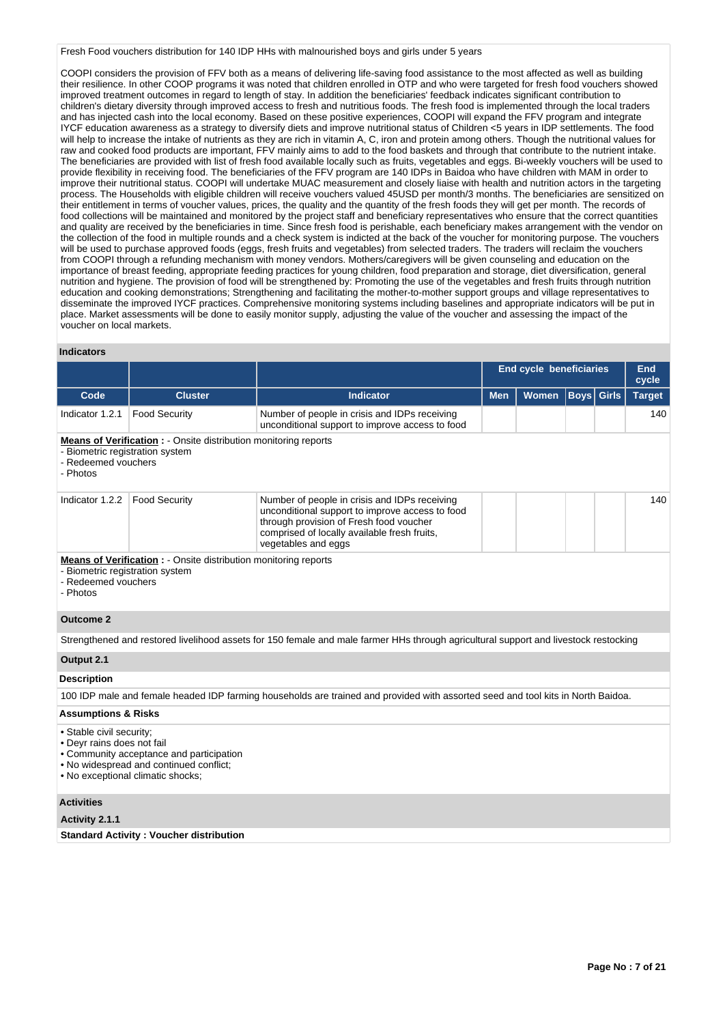Fresh Food vouchers distribution for 140 IDP HHs with malnourished boys and girls under 5 years

COOPI considers the provision of FFV both as a means of delivering life-saving food assistance to the most affected as well as building their resilience. In other COOP programs it was noted that children enrolled in OTP and who were targeted for fresh food vouchers showed improved treatment outcomes in regard to length of stay. In addition the beneficiaries' feedback indicates significant contribution to children's dietary diversity through improved access to fresh and nutritious foods. The fresh food is implemented through the local traders and has injected cash into the local economy. Based on these positive experiences, COOPI will expand the FFV program and integrate IYCF education awareness as a strategy to diversify diets and improve nutritional status of Children <5 years in IDP settlements. The food will help to increase the intake of nutrients as they are rich in vitamin A, C, iron and protein among others. Though the nutritional values for raw and cooked food products are important, FFV mainly aims to add to the food baskets and through that contribute to the nutrient intake. The beneficiaries are provided with list of fresh food available locally such as fruits, vegetables and eggs. Bi-weekly vouchers will be used to provide flexibility in receiving food. The beneficiaries of the FFV program are 140 IDPs in Baidoa who have children with MAM in order to improve their nutritional status. COOPI will undertake MUAC measurement and closely liaise with health and nutrition actors in the targeting process. The Households with eligible children will receive vouchers valued 45USD per month/3 months. The beneficiaries are sensitized on their entitlement in terms of voucher values, prices, the quality and the quantity of the fresh foods they will get per month. The records of food collections will be maintained and monitored by the project staff and beneficiary representatives who ensure that the correct quantities and quality are received by the beneficiaries in time. Since fresh food is perishable, each beneficiary makes arrangement with the vendor on the collection of the food in multiple rounds and a check system is indicted at the back of the voucher for monitoring purpose. The vouchers will be used to purchase approved foods (eggs, fresh fruits and vegetables) from selected traders. The traders will reclaim the vouchers from COOPI through a refunding mechanism with money vendors. Mothers/caregivers will be given counseling and education on the importance of breast feeding, appropriate feeding practices for young children, food preparation and storage, diet diversification, general nutrition and hygiene. The provision of food will be strengthened by: Promoting the use of the vegetables and fresh fruits through nutrition education and cooking demonstrations; Strengthening and facilitating the mother-to-mother support groups and village representatives to disseminate the improved IYCF practices. Comprehensive monitoring systems including baselines and appropriate indicators will be put in place. Market assessments will be done to easily monitor supply, adjusting the value of the voucher and assessing the impact of the voucher on local markets.

#### **Indicators**

|                                                                                                                                                                                                                                                               |                                                                                                                          |                                                                                                                                      |            | End cycle beneficiaries |  |     | End<br>cycle |
|---------------------------------------------------------------------------------------------------------------------------------------------------------------------------------------------------------------------------------------------------------------|--------------------------------------------------------------------------------------------------------------------------|--------------------------------------------------------------------------------------------------------------------------------------|------------|-------------------------|--|-----|--------------|
| Code                                                                                                                                                                                                                                                          | <b>Cluster</b>                                                                                                           | <b>Indicator</b>                                                                                                                     | <b>Men</b> | <b>Target</b>           |  |     |              |
| Indicator 1.2.1                                                                                                                                                                                                                                               | <b>Food Security</b>                                                                                                     | Number of people in crisis and IDPs receiving<br>unconditional support to improve access to food                                     |            |                         |  |     | 140          |
| - Biometric registration system<br>- Redeemed vouchers<br>- Photos                                                                                                                                                                                            | <b>Means of Verification : - Onsite distribution monitoring reports</b>                                                  |                                                                                                                                      |            |                         |  |     |              |
| <b>Food Security</b><br>Indicator 1.2.2<br>Number of people in crisis and IDPs receiving<br>unconditional support to improve access to food<br>through provision of Fresh food voucher<br>comprised of locally available fresh fruits,<br>vegetables and eggs |                                                                                                                          |                                                                                                                                      |            |                         |  | 140 |              |
| - Biometric registration system<br>- Redeemed vouchers<br>- Photos                                                                                                                                                                                            | <b>Means of Verification : - Onsite distribution monitoring reports</b>                                                  |                                                                                                                                      |            |                         |  |     |              |
| <b>Outcome 2</b>                                                                                                                                                                                                                                              |                                                                                                                          |                                                                                                                                      |            |                         |  |     |              |
|                                                                                                                                                                                                                                                               |                                                                                                                          | Strengthened and restored livelihood assets for 150 female and male farmer HHs through agricultural support and livestock restocking |            |                         |  |     |              |
| Output 2.1                                                                                                                                                                                                                                                    |                                                                                                                          |                                                                                                                                      |            |                         |  |     |              |
| <b>Description</b>                                                                                                                                                                                                                                            |                                                                                                                          |                                                                                                                                      |            |                         |  |     |              |
|                                                                                                                                                                                                                                                               |                                                                                                                          | 100 IDP male and female headed IDP farming households are trained and provided with assorted seed and tool kits in North Baidoa.     |            |                         |  |     |              |
| <b>Assumptions &amp; Risks</b>                                                                                                                                                                                                                                |                                                                                                                          |                                                                                                                                      |            |                         |  |     |              |
| • Stable civil security;<br>• Deyr rains does not fail                                                                                                                                                                                                        | • Community acceptance and participation<br>. No widespread and continued conflict;<br>. No exceptional climatic shocks; |                                                                                                                                      |            |                         |  |     |              |
| <b>Activities</b>                                                                                                                                                                                                                                             |                                                                                                                          |                                                                                                                                      |            |                         |  |     |              |
| Activity 2.1.1                                                                                                                                                                                                                                                |                                                                                                                          |                                                                                                                                      |            |                         |  |     |              |
|                                                                                                                                                                                                                                                               | <b>Standard Activity: Voucher distribution</b>                                                                           |                                                                                                                                      |            |                         |  |     |              |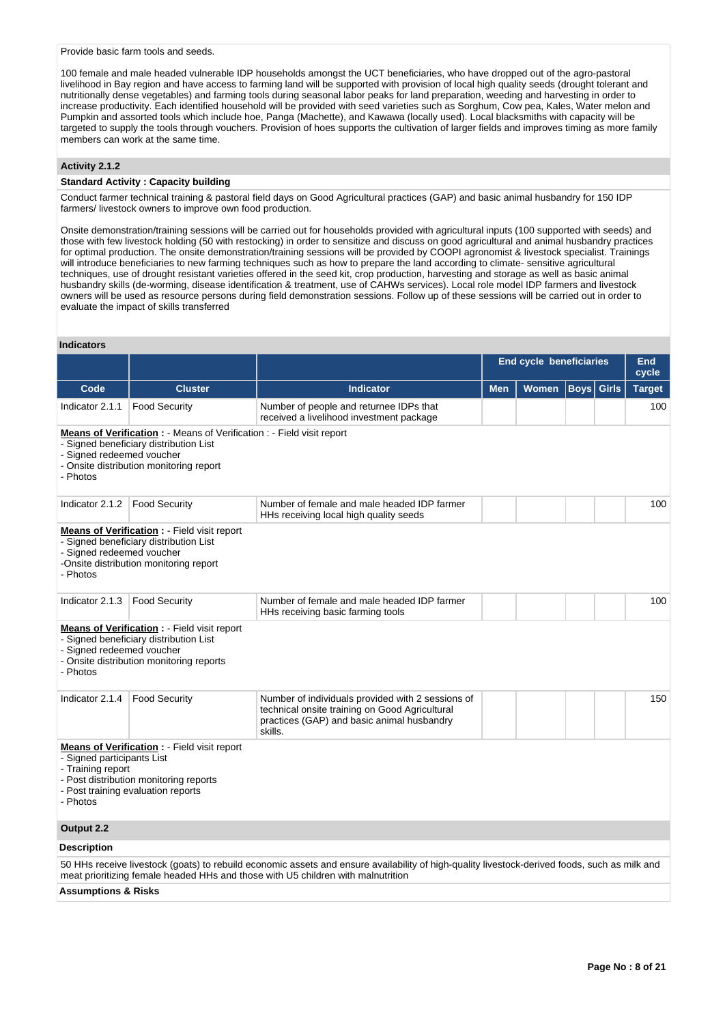# Provide basic farm tools and seeds.

100 female and male headed vulnerable IDP households amongst the UCT beneficiaries, who have dropped out of the agro-pastoral livelihood in Bay region and have access to farming land will be supported with provision of local high quality seeds (drought tolerant and nutritionally dense vegetables) and farming tools during seasonal labor peaks for land preparation, weeding and harvesting in order to increase productivity. Each identified household will be provided with seed varieties such as Sorghum, Cow pea, Kales, Water melon and Pumpkin and assorted tools which include hoe, Panga (Machette), and Kawawa (locally used). Local blacksmiths with capacity will be targeted to supply the tools through vouchers. Provision of hoes supports the cultivation of larger fields and improves timing as more family members can work at the same time.

# **Activity 2.1.2**

### **Standard Activity : Capacity building**

Conduct farmer technical training & pastoral field days on Good Agricultural practices (GAP) and basic animal husbandry for 150 IDP farmers/ livestock owners to improve own food production.

Onsite demonstration/training sessions will be carried out for households provided with agricultural inputs (100 supported with seeds) and those with few livestock holding (50 with restocking) in order to sensitize and discuss on good agricultural and animal husbandry practices for optimal production. The onsite demonstration/training sessions will be provided by COOPI agronomist & livestock specialist. Trainings will introduce beneficiaries to new farming techniques such as how to prepare the land according to climate- sensitive agricultural techniques, use of drought resistant varieties offered in the seed kit, crop production, harvesting and storage as well as basic animal husbandry skills (de-worming, disease identification & treatment, use of CAHWs services). Local role model IDP farmers and livestock owners will be used as resource persons during field demonstration sessions. Follow up of these sessions will be carried out in order to evaluate the impact of skills transferred

#### **Indicators**

|                                       |                                                                                                                                                                  |                                                                                                                                                                                                                                   |            | <b>End cycle beneficiaries</b> |      |              | End<br>cycle  |  |
|---------------------------------------|------------------------------------------------------------------------------------------------------------------------------------------------------------------|-----------------------------------------------------------------------------------------------------------------------------------------------------------------------------------------------------------------------------------|------------|--------------------------------|------|--------------|---------------|--|
| Code                                  | <b>Cluster</b>                                                                                                                                                   | <b>Indicator</b>                                                                                                                                                                                                                  | <b>Men</b> | Women                          | Boys | <b>Girls</b> | <b>Target</b> |  |
| Indicator 2.1.1                       | <b>Food Security</b>                                                                                                                                             | Number of people and returnee IDPs that<br>received a livelihood investment package                                                                                                                                               |            |                                |      |              | 100           |  |
| - Signed redeemed voucher<br>- Photos | <b>Means of Verification:</b> - Means of Verification: - Field visit report<br>- Signed beneficiary distribution List<br>- Onsite distribution monitoring report |                                                                                                                                                                                                                                   |            |                                |      |              |               |  |
| Indicator 2.1.2                       | <b>Food Security</b>                                                                                                                                             | Number of female and male headed IDP farmer<br>HHs receiving local high quality seeds                                                                                                                                             |            |                                |      |              | 100           |  |
| - Signed redeemed voucher<br>- Photos | <b>Means of Verification:</b> - Field visit report<br>- Signed beneficiary distribution List<br>-Onsite distribution monitoring report                           |                                                                                                                                                                                                                                   |            |                                |      |              |               |  |
| Indicator 2.1.3                       | <b>Food Security</b><br>Number of female and male headed IDP farmer<br>HHs receiving basic farming tools                                                         |                                                                                                                                                                                                                                   |            |                                |      | 100          |               |  |
| - Signed redeemed voucher<br>- Photos | Means of Verification : - Field visit report<br>- Signed beneficiary distribution List<br>- Onsite distribution monitoring reports                               |                                                                                                                                                                                                                                   |            |                                |      |              |               |  |
| Indicator 2.1.4                       | <b>Food Security</b>                                                                                                                                             | Number of individuals provided with 2 sessions of<br>technical onsite training on Good Agricultural<br>practices (GAP) and basic animal husbandry<br>skills.                                                                      |            |                                |      |              | 150           |  |
| - Training report<br>- Photos         | <b>Means of Verification:</b> - Field visit report<br>- Signed participants List<br>- Post distribution monitoring reports<br>- Post training evaluation reports |                                                                                                                                                                                                                                   |            |                                |      |              |               |  |
| Output 2.2                            |                                                                                                                                                                  |                                                                                                                                                                                                                                   |            |                                |      |              |               |  |
| <b>Description</b>                    |                                                                                                                                                                  |                                                                                                                                                                                                                                   |            |                                |      |              |               |  |
|                                       |                                                                                                                                                                  | 50 HHs receive livestock (goats) to rebuild economic assets and ensure availability of high-quality livestock-derived foods, such as milk and<br>meat prioritizing female headed HHs and those with U5 children with malnutrition |            |                                |      |              |               |  |
| <b>Assumptions &amp; Risks</b>        |                                                                                                                                                                  |                                                                                                                                                                                                                                   |            |                                |      |              |               |  |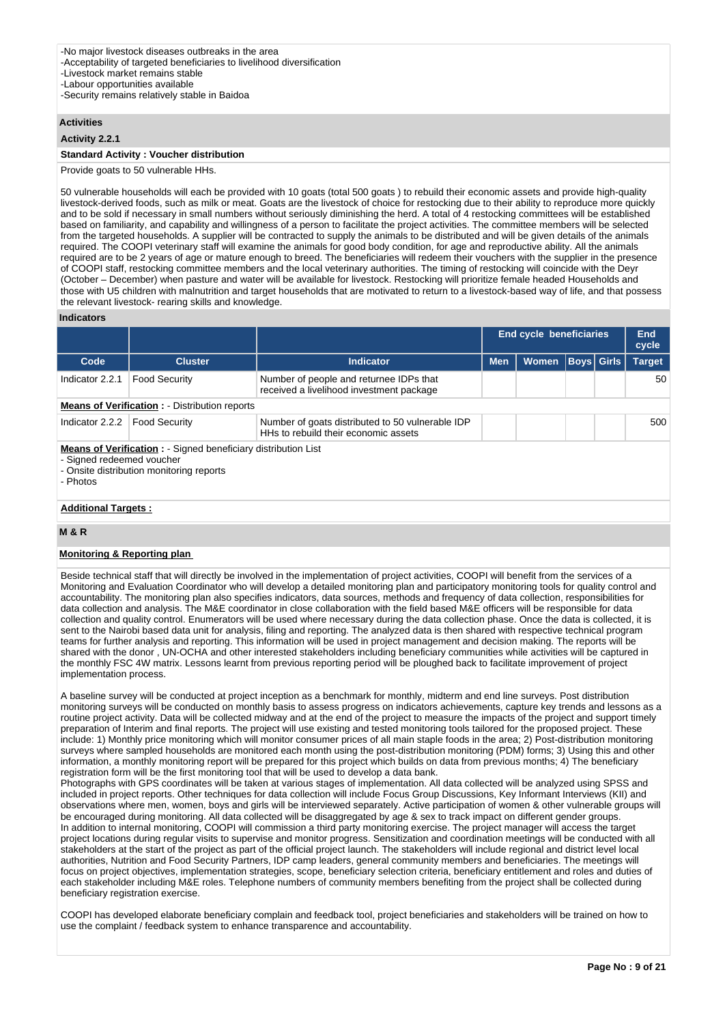-Security remains relatively stable in Baidoa

#### **Activities**

### **Activity 2.2.1**

### **Standard Activity : Voucher distribution**

Provide goats to 50 vulnerable HHs.

50 vulnerable households will each be provided with 10 goats (total 500 goats ) to rebuild their economic assets and provide high-quality livestock-derived foods, such as milk or meat. Goats are the livestock of choice for restocking due to their ability to reproduce more quickly and to be sold if necessary in small numbers without seriously diminishing the herd. A total of 4 restocking committees will be established based on familiarity, and capability and willingness of a person to facilitate the project activities. The committee members will be selected from the targeted households. A supplier will be contracted to supply the animals to be distributed and will be given details of the animals required. The COOPI veterinary staff will examine the animals for good body condition, for age and reproductive ability. All the animals required are to be 2 years of age or mature enough to breed. The beneficiaries will redeem their vouchers with the supplier in the presence of COOPI staff, restocking committee members and the local veterinary authorities. The timing of restocking will coincide with the Deyr (October – December) when pasture and water will be available for livestock. Restocking will prioritize female headed Households and those with U5 children with malnutrition and target households that are motivated to return to a livestock-based way of life, and that possess the relevant livestock- rearing skills and knowledge.

#### **Indicators**

|                                       |                                                                                                                   |                                                                                          |            | <b>End cycle beneficiaries</b> |             | End<br>cycle  |
|---------------------------------------|-------------------------------------------------------------------------------------------------------------------|------------------------------------------------------------------------------------------|------------|--------------------------------|-------------|---------------|
| Code                                  | <b>Cluster</b>                                                                                                    | <b>Indicator</b>                                                                         | <b>Men</b> | <b>Women</b>                   | Boys  Girls | <b>Target</b> |
| Indicator 2.2.1                       | <b>Food Security</b>                                                                                              | Number of people and returnee IDPs that<br>received a livelihood investment package      |            |                                |             | 50            |
|                                       | <b>Means of Verification : - Distribution reports</b>                                                             |                                                                                          |            |                                |             |               |
| Indicator 2.2.2                       | <b>Food Security</b>                                                                                              | Number of goats distributed to 50 vulnerable IDP<br>HHs to rebuild their economic assets |            |                                |             | 500           |
| - Signed redeemed voucher<br>- Photos | <b>Means of Verification : - Signed beneficiary distribution List</b><br>- Onsite distribution monitoring reports |                                                                                          |            |                                |             |               |

### **Additional Targets :**

# **M & R**

# **Monitoring & Reporting plan**

Beside technical staff that will directly be involved in the implementation of project activities, COOPI will benefit from the services of a Monitoring and Evaluation Coordinator who will develop a detailed monitoring plan and participatory monitoring tools for quality control and accountability. The monitoring plan also specifies indicators, data sources, methods and frequency of data collection, responsibilities for data collection and analysis. The M&E coordinator in close collaboration with the field based M&E officers will be responsible for data collection and quality control. Enumerators will be used where necessary during the data collection phase. Once the data is collected, it is sent to the Nairobi based data unit for analysis, filing and reporting. The analyzed data is then shared with respective technical program teams for further analysis and reporting. This information will be used in project management and decision making. The reports will be shared with the donor , UN-OCHA and other interested stakeholders including beneficiary communities while activities will be captured in the monthly FSC 4W matrix. Lessons learnt from previous reporting period will be ploughed back to facilitate improvement of project implementation process.

A baseline survey will be conducted at project inception as a benchmark for monthly, midterm and end line surveys. Post distribution monitoring surveys will be conducted on monthly basis to assess progress on indicators achievements, capture key trends and lessons as a routine project activity. Data will be collected midway and at the end of the project to measure the impacts of the project and support timely preparation of Interim and final reports. The project will use existing and tested monitoring tools tailored for the proposed project. These include: 1) Monthly price monitoring which will monitor consumer prices of all main staple foods in the area; 2) Post-distribution monitoring surveys where sampled households are monitored each month using the post-distribution monitoring (PDM) forms; 3) Using this and other information, a monthly monitoring report will be prepared for this project which builds on data from previous months; 4) The beneficiary registration form will be the first monitoring tool that will be used to develop a data bank.

Photographs with GPS coordinates will be taken at various stages of implementation. All data collected will be analyzed using SPSS and included in project reports. Other techniques for data collection will include Focus Group Discussions, Key Informant Interviews (KII) and observations where men, women, boys and girls will be interviewed separately. Active participation of women & other vulnerable groups will be encouraged during monitoring. All data collected will be disaggregated by age & sex to track impact on different gender groups. In addition to internal monitoring, COOPI will commission a third party monitoring exercise. The project manager will access the target project locations during regular visits to supervise and monitor progress. Sensitization and coordination meetings will be conducted with all stakeholders at the start of the project as part of the official project launch. The stakeholders will include regional and district level local authorities, Nutrition and Food Security Partners, IDP camp leaders, general community members and beneficiaries. The meetings will focus on project objectives, implementation strategies, scope, beneficiary selection criteria, beneficiary entitlement and roles and duties of each stakeholder including M&E roles. Telephone numbers of community members benefiting from the project shall be collected during beneficiary registration exercise.

COOPI has developed elaborate beneficiary complain and feedback tool, project beneficiaries and stakeholders will be trained on how to use the complaint / feedback system to enhance transparence and accountability.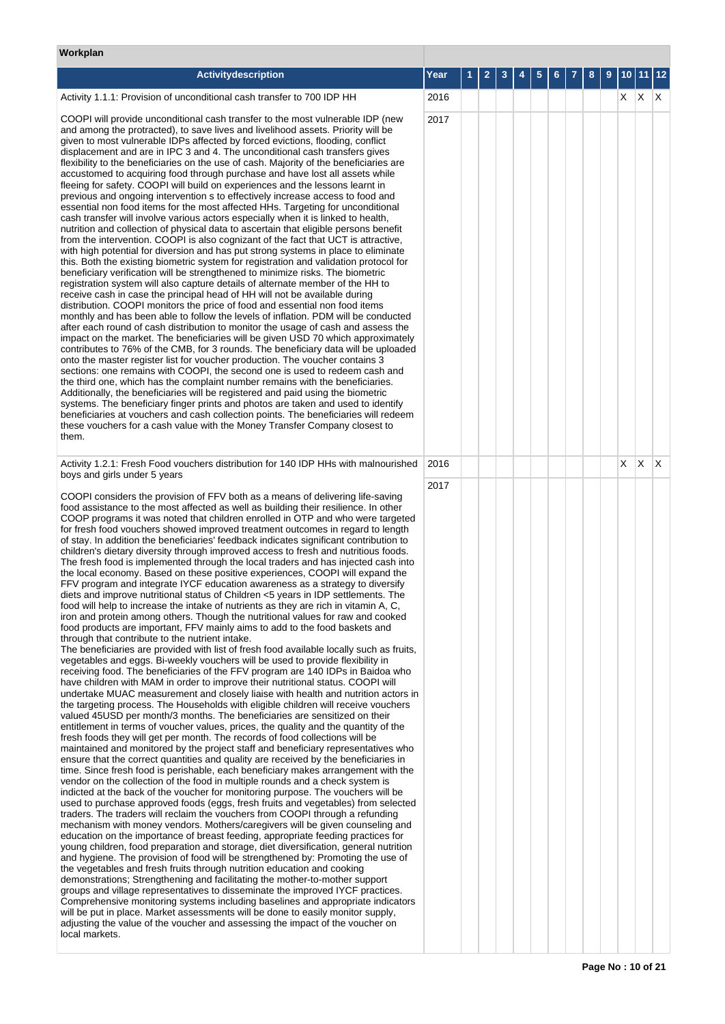# **Workplan**

| Activitydescription                                                                                                                                                                                                                                                                                                                                                                                                                                                                                                                                                                                                                                                                                                                                                                                                                                                                                                                                                                                                                                                                                                                                                                                                                                                                                                                                                                                                                                                                                                                                                                                                                                                                                                                                                                                                                                                                                                                                                                                                                                                                                                                                                                                                                                                                                                                                                                                                                                                                                                                                                                                                                                                                                                                                                                                                                                                                                                                                                                                                                                                                                                                                                                                                                                                                                                                                                                                                                                         | Year | 1 | 2 | 3 | 5 |  | 8 | 9 |    | 10 11 12 |              |
|-------------------------------------------------------------------------------------------------------------------------------------------------------------------------------------------------------------------------------------------------------------------------------------------------------------------------------------------------------------------------------------------------------------------------------------------------------------------------------------------------------------------------------------------------------------------------------------------------------------------------------------------------------------------------------------------------------------------------------------------------------------------------------------------------------------------------------------------------------------------------------------------------------------------------------------------------------------------------------------------------------------------------------------------------------------------------------------------------------------------------------------------------------------------------------------------------------------------------------------------------------------------------------------------------------------------------------------------------------------------------------------------------------------------------------------------------------------------------------------------------------------------------------------------------------------------------------------------------------------------------------------------------------------------------------------------------------------------------------------------------------------------------------------------------------------------------------------------------------------------------------------------------------------------------------------------------------------------------------------------------------------------------------------------------------------------------------------------------------------------------------------------------------------------------------------------------------------------------------------------------------------------------------------------------------------------------------------------------------------------------------------------------------------------------------------------------------------------------------------------------------------------------------------------------------------------------------------------------------------------------------------------------------------------------------------------------------------------------------------------------------------------------------------------------------------------------------------------------------------------------------------------------------------------------------------------------------------------------------------------------------------------------------------------------------------------------------------------------------------------------------------------------------------------------------------------------------------------------------------------------------------------------------------------------------------------------------------------------------------------------------------------------------------------------------------------------------------|------|---|---|---|---|--|---|---|----|----------|--------------|
| Activity 1.1.1: Provision of unconditional cash transfer to 700 IDP HH                                                                                                                                                                                                                                                                                                                                                                                                                                                                                                                                                                                                                                                                                                                                                                                                                                                                                                                                                                                                                                                                                                                                                                                                                                                                                                                                                                                                                                                                                                                                                                                                                                                                                                                                                                                                                                                                                                                                                                                                                                                                                                                                                                                                                                                                                                                                                                                                                                                                                                                                                                                                                                                                                                                                                                                                                                                                                                                                                                                                                                                                                                                                                                                                                                                                                                                                                                                      | 2016 |   |   |   |   |  |   |   | X. | $X$ $X$  |              |
| COOPI will provide unconditional cash transfer to the most vulnerable IDP (new<br>and among the protracted), to save lives and livelihood assets. Priority will be<br>given to most vulnerable IDPs affected by forced evictions, flooding, conflict<br>displacement and are in IPC 3 and 4. The unconditional cash transfers gives<br>flexibility to the beneficiaries on the use of cash. Majority of the beneficiaries are<br>accustomed to acquiring food through purchase and have lost all assets while<br>fleeing for safety. COOPI will build on experiences and the lessons learnt in<br>previous and ongoing intervention s to effectively increase access to food and<br>essential non food items for the most affected HHs. Targeting for unconditional<br>cash transfer will involve various actors especially when it is linked to health,<br>nutrition and collection of physical data to ascertain that eligible persons benefit<br>from the intervention. COOPI is also cognizant of the fact that UCT is attractive,<br>with high potential for diversion and has put strong systems in place to eliminate<br>this. Both the existing biometric system for registration and validation protocol for<br>beneficiary verification will be strengthened to minimize risks. The biometric<br>registration system will also capture details of alternate member of the HH to<br>receive cash in case the principal head of HH will not be available during<br>distribution. COOPI monitors the price of food and essential non food items<br>monthly and has been able to follow the levels of inflation. PDM will be conducted<br>after each round of cash distribution to monitor the usage of cash and assess the<br>impact on the market. The beneficiaries will be given USD 70 which approximately<br>contributes to 76% of the CMB, for 3 rounds. The beneficiary data will be uploaded<br>onto the master register list for voucher production. The voucher contains 3<br>sections: one remains with COOPI, the second one is used to redeem cash and<br>the third one, which has the complaint number remains with the beneficiaries.<br>Additionally, the beneficiaries will be registered and paid using the biometric<br>systems. The beneficiary finger prints and photos are taken and used to identify<br>beneficiaries at vouchers and cash collection points. The beneficiaries will redeem<br>these vouchers for a cash value with the Money Transfer Company closest to<br>them.                                                                                                                                                                                                                                                                                                                                                                                                                                                                                                                                                                                                                                                                                                                                                                                                                                                                                                                                            | 2017 |   |   |   |   |  |   |   |    |          |              |
| Activity 1.2.1: Fresh Food vouchers distribution for 140 IDP HHs with malnourished<br>boys and girls under 5 years                                                                                                                                                                                                                                                                                                                                                                                                                                                                                                                                                                                                                                                                                                                                                                                                                                                                                                                                                                                                                                                                                                                                                                                                                                                                                                                                                                                                                                                                                                                                                                                                                                                                                                                                                                                                                                                                                                                                                                                                                                                                                                                                                                                                                                                                                                                                                                                                                                                                                                                                                                                                                                                                                                                                                                                                                                                                                                                                                                                                                                                                                                                                                                                                                                                                                                                                          | 2016 |   |   |   |   |  |   |   | X  | X        | $\mathsf{X}$ |
| COOPI considers the provision of FFV both as a means of delivering life-saving<br>food assistance to the most affected as well as building their resilience. In other<br>COOP programs it was noted that children enrolled in OTP and who were targeted<br>for fresh food vouchers showed improved treatment outcomes in regard to length<br>of stay. In addition the beneficiaries' feedback indicates significant contribution to<br>children's dietary diversity through improved access to fresh and nutritious foods.<br>The fresh food is implemented through the local traders and has injected cash into<br>the local economy. Based on these positive experiences, COOPI will expand the<br>FFV program and integrate IYCF education awareness as a strategy to diversify<br>diets and improve nutritional status of Children <5 years in IDP settlements. The<br>food will help to increase the intake of nutrients as they are rich in vitamin A, C,<br>iron and protein among others. Though the nutritional values for raw and cooked<br>food products are important, FFV mainly aims to add to the food baskets and<br>through that contribute to the nutrient intake.<br>The beneficiaries are provided with list of fresh food available locally such as fruits,<br>vegetables and eggs. Bi-weekly vouchers will be used to provide flexibility in<br>receiving food. The beneficiaries of the FFV program are 140 IDPs in Baidoa who<br>have children with MAM in order to improve their nutritional status. COOPI will<br>undertake MUAC measurement and closely liaise with health and nutrition actors in<br>the targeting process. The Households with eligible children will receive vouchers<br>valued 45USD per month/3 months. The beneficiaries are sensitized on their<br>entitlement in terms of voucher values, prices, the quality and the quantity of the<br>fresh foods they will get per month. The records of food collections will be<br>maintained and monitored by the project staff and beneficiary representatives who<br>ensure that the correct quantities and quality are received by the beneficiaries in<br>time. Since fresh food is perishable, each beneficiary makes arrangement with the<br>vendor on the collection of the food in multiple rounds and a check system is<br>indicted at the back of the voucher for monitoring purpose. The vouchers will be<br>used to purchase approved foods (eggs, fresh fruits and vegetables) from selected<br>traders. The traders will reclaim the vouchers from COOPI through a refunding<br>mechanism with money vendors. Mothers/caregivers will be given counseling and<br>education on the importance of breast feeding, appropriate feeding practices for<br>young children, food preparation and storage, diet diversification, general nutrition<br>and hygiene. The provision of food will be strengthened by: Promoting the use of<br>the vegetables and fresh fruits through nutrition education and cooking<br>demonstrations; Strengthening and facilitating the mother-to-mother support<br>groups and village representatives to disseminate the improved IYCF practices.<br>Comprehensive monitoring systems including baselines and appropriate indicators<br>will be put in place. Market assessments will be done to easily monitor supply,<br>adjusting the value of the voucher and assessing the impact of the voucher on<br>local markets. | 2017 |   |   |   |   |  |   |   |    |          |              |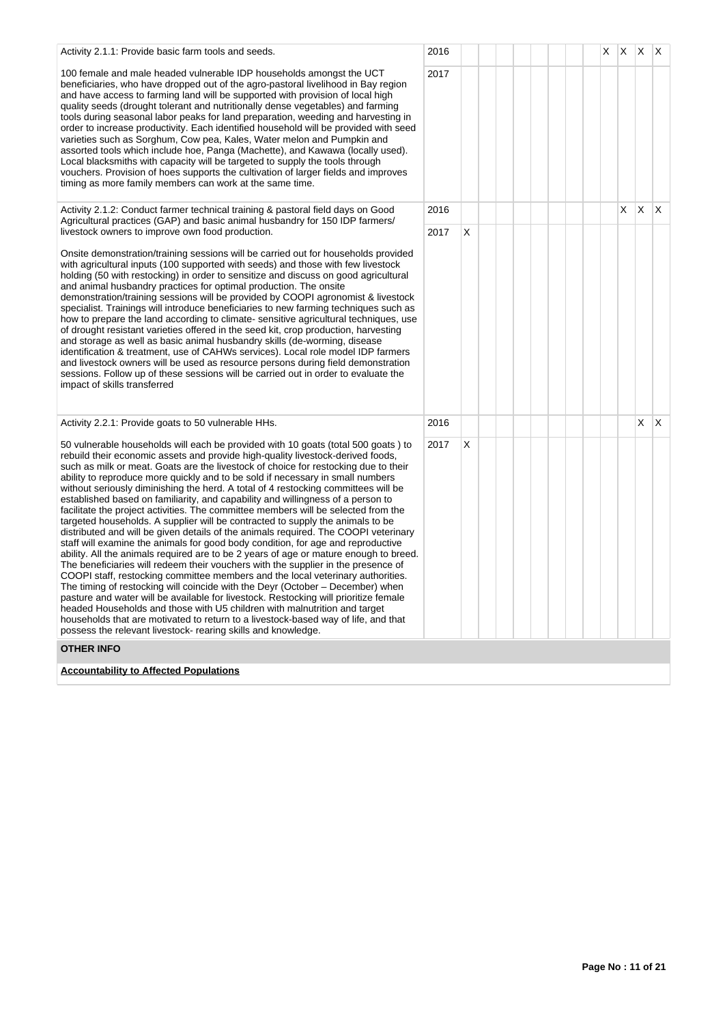| Activity 2.1.1: Provide basic farm tools and seeds.                                                                                                                                                                                                                                                                                                                                                                                                                                                                                                                                                                                                                                                                                                                                                                                                                                                                                                                                                                                                                                                                                                                                                                                                                                                                                                                                                                                                                                                                                                                           | 2016         |   |  | X. | X. | $\mathsf{X}$ | $\mathsf{I} \mathsf{X}$ |
|-------------------------------------------------------------------------------------------------------------------------------------------------------------------------------------------------------------------------------------------------------------------------------------------------------------------------------------------------------------------------------------------------------------------------------------------------------------------------------------------------------------------------------------------------------------------------------------------------------------------------------------------------------------------------------------------------------------------------------------------------------------------------------------------------------------------------------------------------------------------------------------------------------------------------------------------------------------------------------------------------------------------------------------------------------------------------------------------------------------------------------------------------------------------------------------------------------------------------------------------------------------------------------------------------------------------------------------------------------------------------------------------------------------------------------------------------------------------------------------------------------------------------------------------------------------------------------|--------------|---|--|----|----|--------------|-------------------------|
| 100 female and male headed vulnerable IDP households amongst the UCT<br>beneficiaries, who have dropped out of the agro-pastoral livelihood in Bay region<br>and have access to farming land will be supported with provision of local high<br>quality seeds (drought tolerant and nutritionally dense vegetables) and farming<br>tools during seasonal labor peaks for land preparation, weeding and harvesting in<br>order to increase productivity. Each identified household will be provided with seed<br>varieties such as Sorghum, Cow pea, Kales, Water melon and Pumpkin and<br>assorted tools which include hoe, Panga (Machette), and Kawawa (locally used).<br>Local blacksmiths with capacity will be targeted to supply the tools through<br>vouchers. Provision of hoes supports the cultivation of larger fields and improves<br>timing as more family members can work at the same time.                                                                                                                                                                                                                                                                                                                                                                                                                                                                                                                                                                                                                                                                     | 2017         |   |  |    |    |              |                         |
| Activity 2.1.2: Conduct farmer technical training & pastoral field days on Good<br>Agricultural practices (GAP) and basic animal husbandry for 150 IDP farmers/<br>livestock owners to improve own food production.                                                                                                                                                                                                                                                                                                                                                                                                                                                                                                                                                                                                                                                                                                                                                                                                                                                                                                                                                                                                                                                                                                                                                                                                                                                                                                                                                           | 2016<br>2017 | X |  |    | X  | $\mathsf{X}$ | $\mathsf{X}$            |
| Onsite demonstration/training sessions will be carried out for households provided<br>with agricultural inputs (100 supported with seeds) and those with few livestock<br>holding (50 with restocking) in order to sensitize and discuss on good agricultural<br>and animal husbandry practices for optimal production. The onsite<br>demonstration/training sessions will be provided by COOPI agronomist & livestock<br>specialist. Trainings will introduce beneficiaries to new farming techniques such as<br>how to prepare the land according to climate- sensitive agricultural techniques, use<br>of drought resistant varieties offered in the seed kit, crop production, harvesting<br>and storage as well as basic animal husbandry skills (de-worming, disease<br>identification & treatment, use of CAHWs services). Local role model IDP farmers<br>and livestock owners will be used as resource persons during field demonstration<br>sessions. Follow up of these sessions will be carried out in order to evaluate the<br>impact of skills transferred                                                                                                                                                                                                                                                                                                                                                                                                                                                                                                      |              |   |  |    |    |              |                         |
| Activity 2.2.1: Provide goats to 50 vulnerable HHs.                                                                                                                                                                                                                                                                                                                                                                                                                                                                                                                                                                                                                                                                                                                                                                                                                                                                                                                                                                                                                                                                                                                                                                                                                                                                                                                                                                                                                                                                                                                           | 2016         |   |  |    |    | X.           | $\mathsf{X}$            |
| 50 vulnerable households will each be provided with 10 goats (total 500 goats) to<br>rebuild their economic assets and provide high-quality livestock-derived foods,<br>such as milk or meat. Goats are the livestock of choice for restocking due to their<br>ability to reproduce more quickly and to be sold if necessary in small numbers<br>without seriously diminishing the herd. A total of 4 restocking committees will be<br>established based on familiarity, and capability and willingness of a person to<br>facilitate the project activities. The committee members will be selected from the<br>targeted households. A supplier will be contracted to supply the animals to be<br>distributed and will be given details of the animals required. The COOPI veterinary<br>staff will examine the animals for good body condition, for age and reproductive<br>ability. All the animals required are to be 2 years of age or mature enough to breed.<br>The beneficiaries will redeem their vouchers with the supplier in the presence of<br>COOPI staff, restocking committee members and the local veterinary authorities.<br>The timing of restocking will coincide with the Deyr (October – December) when<br>pasture and water will be available for livestock. Restocking will prioritize female<br>headed Households and those with U5 children with malnutrition and target<br>households that are motivated to return to a livestock-based way of life, and that<br>possess the relevant livestock- rearing skills and knowledge.<br><b>OTHER INFO</b> | 2017         | X |  |    |    |              |                         |
| <b>Accountability to Affected Populations</b>                                                                                                                                                                                                                                                                                                                                                                                                                                                                                                                                                                                                                                                                                                                                                                                                                                                                                                                                                                                                                                                                                                                                                                                                                                                                                                                                                                                                                                                                                                                                 |              |   |  |    |    |              |                         |
|                                                                                                                                                                                                                                                                                                                                                                                                                                                                                                                                                                                                                                                                                                                                                                                                                                                                                                                                                                                                                                                                                                                                                                                                                                                                                                                                                                                                                                                                                                                                                                               |              |   |  |    |    |              |                         |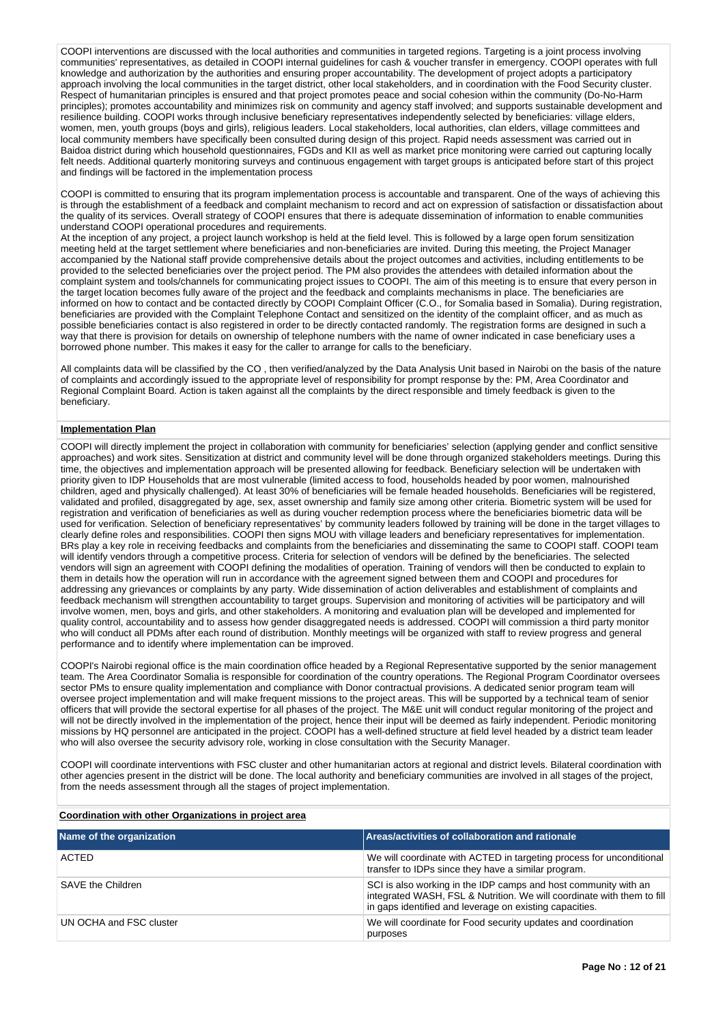COOPI interventions are discussed with the local authorities and communities in targeted regions. Targeting is a joint process involving communities' representatives, as detailed in COOPI internal guidelines for cash & voucher transfer in emergency. COOPI operates with full knowledge and authorization by the authorities and ensuring proper accountability. The development of project adopts a participatory approach involving the local communities in the target district, other local stakeholders, and in coordination with the Food Security cluster. Respect of humanitarian principles is ensured and that project promotes peace and social cohesion within the community (Do-No-Harm principles); promotes accountability and minimizes risk on community and agency staff involved; and supports sustainable development and resilience building. COOPI works through inclusive beneficiary representatives independently selected by beneficiaries: village elders, women, men, youth groups (boys and girls), religious leaders. Local stakeholders, local authorities, clan elders, village committees and local community members have specifically been consulted during design of this project. Rapid needs assessment was carried out in Baidoa district during which household questionnaires, FGDs and KII as well as market price monitoring were carried out capturing locally felt needs. Additional quarterly monitoring surveys and continuous engagement with target groups is anticipated before start of this project and findings will be factored in the implementation process

COOPI is committed to ensuring that its program implementation process is accountable and transparent. One of the ways of achieving this is through the establishment of a feedback and complaint mechanism to record and act on expression of satisfaction or dissatisfaction about the quality of its services. Overall strategy of COOPI ensures that there is adequate dissemination of information to enable communities understand COOPI operational procedures and requirements.

At the inception of any project, a project launch workshop is held at the field level. This is followed by a large open forum sensitization meeting held at the target settlement where beneficiaries and non-beneficiaries are invited. During this meeting, the Project Manager accompanied by the National staff provide comprehensive details about the project outcomes and activities, including entitlements to be provided to the selected beneficiaries over the project period. The PM also provides the attendees with detailed information about the complaint system and tools/channels for communicating project issues to COOPI. The aim of this meeting is to ensure that every person in the target location becomes fully aware of the project and the feedback and complaints mechanisms in place. The beneficiaries are informed on how to contact and be contacted directly by COOPI Complaint Officer (C.O., for Somalia based in Somalia). During registration, beneficiaries are provided with the Complaint Telephone Contact and sensitized on the identity of the complaint officer, and as much as possible beneficiaries contact is also registered in order to be directly contacted randomly. The registration forms are designed in such a way that there is provision for details on ownership of telephone numbers with the name of owner indicated in case beneficiary uses a borrowed phone number. This makes it easy for the caller to arrange for calls to the beneficiary.

All complaints data will be classified by the CO , then verified/analyzed by the Data Analysis Unit based in Nairobi on the basis of the nature of complaints and accordingly issued to the appropriate level of responsibility for prompt response by the: PM, Area Coordinator and Regional Complaint Board. Action is taken against all the complaints by the direct responsible and timely feedback is given to the beneficiary.

#### **Implementation Plan**

COOPI will directly implement the project in collaboration with community for beneficiaries' selection (applying gender and conflict sensitive approaches) and work sites. Sensitization at district and community level will be done through organized stakeholders meetings. During this time, the objectives and implementation approach will be presented allowing for feedback. Beneficiary selection will be undertaken with priority given to IDP Households that are most vulnerable (limited access to food, households headed by poor women, malnourished children, aged and physically challenged). At least 30% of beneficiaries will be female headed households. Beneficiaries will be registered, validated and profiled, disaggregated by age, sex, asset ownership and family size among other criteria. Biometric system will be used for registration and verification of beneficiaries as well as during voucher redemption process where the beneficiaries biometric data will be used for verification. Selection of beneficiary representatives' by community leaders followed by training will be done in the target villages to clearly define roles and responsibilities. COOPI then signs MOU with village leaders and beneficiary representatives for implementation. BRs play a key role in receiving feedbacks and complaints from the beneficiaries and disseminating the same to COOPI staff. COOPI team will identify vendors through a competitive process. Criteria for selection of vendors will be defined by the beneficiaries. The selected vendors will sign an agreement with COOPI defining the modalities of operation. Training of vendors will then be conducted to explain to them in details how the operation will run in accordance with the agreement signed between them and COOPI and procedures for addressing any grievances or complaints by any party. Wide dissemination of action deliverables and establishment of complaints and feedback mechanism will strengthen accountability to target groups. Supervision and monitoring of activities will be participatory and will involve women, men, boys and girls, and other stakeholders. A monitoring and evaluation plan will be developed and implemented for quality control, accountability and to assess how gender disaggregated needs is addressed. COOPI will commission a third party monitor who will conduct all PDMs after each round of distribution. Monthly meetings will be organized with staff to review progress and general performance and to identify where implementation can be improved.

COOPI's Nairobi regional office is the main coordination office headed by a Regional Representative supported by the senior management team. The Area Coordinator Somalia is responsible for coordination of the country operations. The Regional Program Coordinator oversees sector PMs to ensure quality implementation and compliance with Donor contractual provisions. A dedicated senior program team will oversee project implementation and will make frequent missions to the project areas. This will be supported by a technical team of senior officers that will provide the sectoral expertise for all phases of the project. The M&E unit will conduct regular monitoring of the project and will not be directly involved in the implementation of the project, hence their input will be deemed as fairly independent. Periodic monitoring missions by HQ personnel are anticipated in the project. COOPI has a well-defined structure at field level headed by a district team leader who will also oversee the security advisory role, working in close consultation with the Security Manager.

COOPI will coordinate interventions with FSC cluster and other humanitarian actors at regional and district levels. Bilateral coordination with other agencies present in the district will be done. The local authority and beneficiary communities are involved in all stages of the project, from the needs assessment through all the stages of project implementation.

#### **Coordination with other Organizations in project area**

| Name of the organization | Areas/activities of collaboration and rationale                                                                                                                                                      |
|--------------------------|------------------------------------------------------------------------------------------------------------------------------------------------------------------------------------------------------|
| ACTED                    | We will coordinate with ACTED in targeting process for unconditional<br>transfer to IDPs since they have a similar program.                                                                          |
| SAVE the Children        | SCI is also working in the IDP camps and host community with an<br>integrated WASH, FSL & Nutrition. We will coordinate with them to fill<br>in gaps identified and leverage on existing capacities. |
| UN OCHA and FSC cluster  | We will coordinate for Food security updates and coordination<br>purposes                                                                                                                            |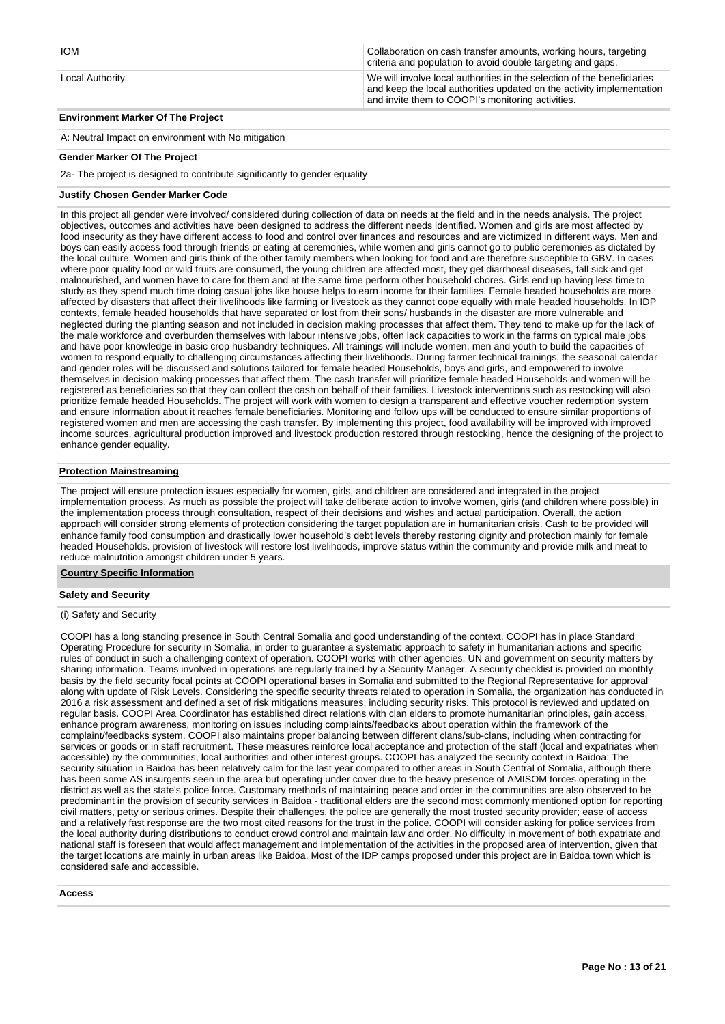| <b>IOM</b>             | Collaboration on cash transfer amounts, working hours, targeting<br>criteria and population to avoid double targeting and gaps.                                                                       |
|------------------------|-------------------------------------------------------------------------------------------------------------------------------------------------------------------------------------------------------|
| <b>Local Authority</b> | We will involve local authorities in the selection of the beneficiaries<br>and keep the local authorities updated on the activity implementation<br>and invite them to COOPI's monitoring activities. |

# **Environment Marker Of The Project**

A: Neutral Impact on environment with No mitigation

### **Gender Marker Of The Project**

2a- The project is designed to contribute significantly to gender equality

#### **Justify Chosen Gender Marker Code**

In this project all gender were involved/ considered during collection of data on needs at the field and in the needs analysis. The project objectives, outcomes and activities have been designed to address the different needs identified. Women and girls are most affected by food insecurity as they have different access to food and control over finances and resources and are victimized in different ways. Men and boys can easily access food through friends or eating at ceremonies, while women and girls cannot go to public ceremonies as dictated by the local culture. Women and girls think of the other family members when looking for food and are therefore susceptible to GBV. In cases where poor quality food or wild fruits are consumed, the young children are affected most, they get diarrhoeal diseases, fall sick and get malnourished, and women have to care for them and at the same time perform other household chores. Girls end up having less time to study as they spend much time doing casual jobs like house helps to earn income for their families. Female headed households are more affected by disasters that affect their livelihoods like farming or livestock as they cannot cope equally with male headed households. In IDP contexts, female headed households that have separated or lost from their sons/ husbands in the disaster are more vulnerable and neglected during the planting season and not included in decision making processes that affect them. They tend to make up for the lack of the male workforce and overburden themselves with labour intensive jobs, often lack capacities to work in the farms on typical male jobs and have poor knowledge in basic crop husbandry techniques. All trainings will include women, men and youth to build the capacities of women to respond equally to challenging circumstances affecting their livelihoods. During farmer technical trainings, the seasonal calendar and gender roles will be discussed and solutions tailored for female headed Households, boys and girls, and empowered to involve themselves in decision making processes that affect them. The cash transfer will prioritize female headed Households and women will be registered as beneficiaries so that they can collect the cash on behalf of their families. Livestock interventions such as restocking will also prioritize female headed Households. The project will work with women to design a transparent and effective voucher redemption system and ensure information about it reaches female beneficiaries. Monitoring and follow ups will be conducted to ensure similar proportions of registered women and men are accessing the cash transfer. By implementing this project, food availability will be improved with improved income sources, agricultural production improved and livestock production restored through restocking, hence the designing of the project to enhance gender equality.

## **Protection Mainstreaming**

The project will ensure protection issues especially for women, girls, and children are considered and integrated in the project implementation process. As much as possible the project will take deliberate action to involve women, girls (and children where possible) in the implementation process through consultation, respect of their decisions and wishes and actual participation. Overall, the action approach will consider strong elements of protection considering the target population are in humanitarian crisis. Cash to be provided will enhance family food consumption and drastically lower household's debt levels thereby restoring dignity and protection mainly for female headed Households. provision of livestock will restore lost livelihoods, improve status within the community and provide milk and meat to reduce malnutrition amongst children under 5 years.

#### **Country Specific Information**

# **Safety and Security**

### (i) Safety and Security

COOPI has a long standing presence in South Central Somalia and good understanding of the context. COOPI has in place Standard Operating Procedure for security in Somalia, in order to guarantee a systematic approach to safety in humanitarian actions and specific rules of conduct in such a challenging context of operation. COOPI works with other agencies, UN and government on security matters by sharing information. Teams involved in operations are regularly trained by a Security Manager. A security checklist is provided on monthly basis by the field security focal points at COOPI operational bases in Somalia and submitted to the Regional Representative for approval along with update of Risk Levels. Considering the specific security threats related to operation in Somalia, the organization has conducted in 2016 a risk assessment and defined a set of risk mitigations measures, including security risks. This protocol is reviewed and updated on regular basis. COOPI Area Coordinator has established direct relations with clan elders to promote humanitarian principles, gain access, enhance program awareness, monitoring on issues including complaints/feedbacks about operation within the framework of the complaint/feedbacks system. COOPI also maintains proper balancing between different clans/sub-clans, including when contracting for services or goods or in staff recruitment. These measures reinforce local acceptance and protection of the staff (local and expatriates when accessible) by the communities, local authorities and other interest groups. COOPI has analyzed the security context in Baidoa: The security situation in Baidoa has been relatively calm for the last year compared to other areas in South Central of Somalia, although there has been some AS insurgents seen in the area but operating under cover due to the heavy presence of AMISOM forces operating in the district as well as the state's police force. Customary methods of maintaining peace and order in the communities are also observed to be predominant in the provision of security services in Baidoa - traditional elders are the second most commonly mentioned option for reporting civil matters, petty or serious crimes. Despite their challenges, the police are generally the most trusted security provider; ease of access and a relatively fast response are the two most cited reasons for the trust in the police. COOPI will consider asking for police services from the local authority during distributions to conduct crowd control and maintain law and order. No difficulty in movement of both expatriate and national staff is foreseen that would affect management and implementation of the activities in the proposed area of intervention, given that the target locations are mainly in urban areas like Baidoa. Most of the IDP camps proposed under this project are in Baidoa town which is considered safe and accessible.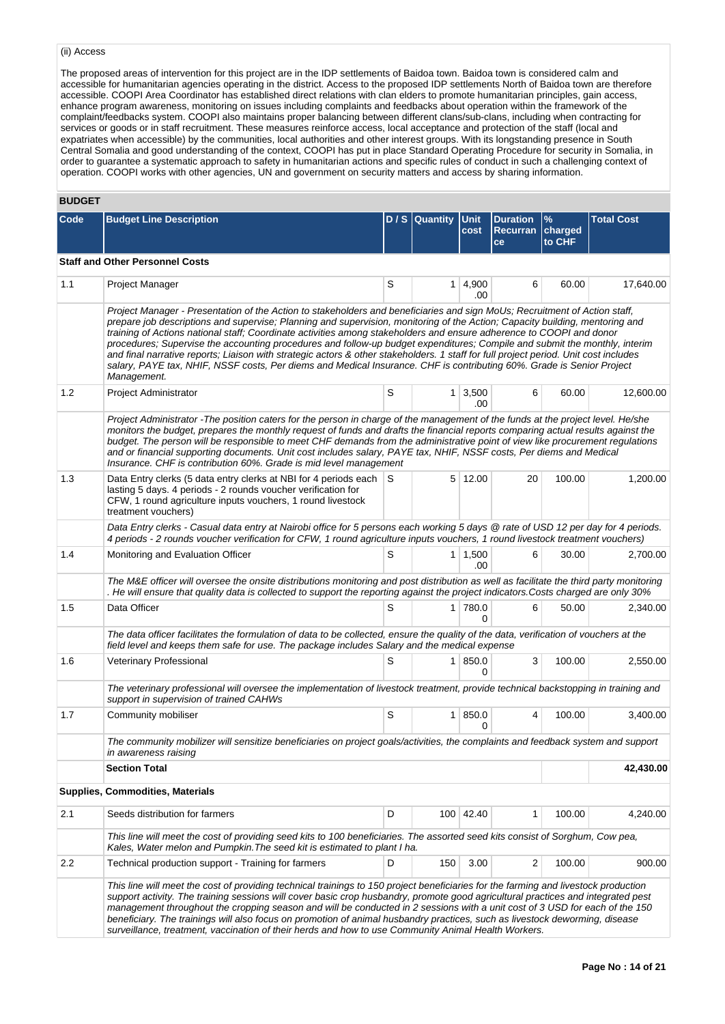# (ii) Access

The proposed areas of intervention for this project are in the IDP settlements of Baidoa town. Baidoa town is considered calm and accessible for humanitarian agencies operating in the district. Access to the proposed IDP settlements North of Baidoa town are therefore accessible. COOPI Area Coordinator has established direct relations with clan elders to promote humanitarian principles, gain access, enhance program awareness, monitoring on issues including complaints and feedbacks about operation within the framework of the complaint/feedbacks system. COOPI also maintains proper balancing between different clans/sub-clans, including when contracting for services or goods or in staff recruitment. These measures reinforce access, local acceptance and protection of the staff (local and expatriates when accessible) by the communities, local authorities and other interest groups. With its longstanding presence in South Central Somalia and good understanding of the context, COOPI has put in place Standard Operating Procedure for security in Somalia, in order to guarantee a systematic approach to safety in humanitarian actions and specific rules of conduct in such a challenging context of operation. COOPI works with other agencies, UN and government on security matters and access by sharing information.

# **BUDGET**

| Code | <b>Budget Line Description</b>                                                                                                                                                                                                                                                                                                                                                                                                                                                                                                                                                                                                                                                                                                                                                                   |   | D/S Quantity Unit | cost                  | <b>Duration</b><br><b>Recurran</b><br>ce | $\%$<br>charged<br>to CHF | <b>Total Cost</b> |  |  |  |  |
|------|--------------------------------------------------------------------------------------------------------------------------------------------------------------------------------------------------------------------------------------------------------------------------------------------------------------------------------------------------------------------------------------------------------------------------------------------------------------------------------------------------------------------------------------------------------------------------------------------------------------------------------------------------------------------------------------------------------------------------------------------------------------------------------------------------|---|-------------------|-----------------------|------------------------------------------|---------------------------|-------------------|--|--|--|--|
|      | <b>Staff and Other Personnel Costs</b>                                                                                                                                                                                                                                                                                                                                                                                                                                                                                                                                                                                                                                                                                                                                                           |   |                   |                       |                                          |                           |                   |  |  |  |  |
| 1.1  | <b>Project Manager</b>                                                                                                                                                                                                                                                                                                                                                                                                                                                                                                                                                                                                                                                                                                                                                                           | S |                   | $1 \mid 4,900$<br>.00 | 6                                        | 60.00                     | 17,640.00         |  |  |  |  |
|      | Project Manager - Presentation of the Action to stakeholders and beneficiaries and sign MoUs; Recruitment of Action staff,<br>prepare job descriptions and supervise; Planning and supervision, monitoring of the Action; Capacity building, mentoring and<br>training of Actions national staff; Coordinate activities among stakeholders and ensure adherence to COOPI and donor<br>procedures; Supervise the accounting procedures and follow-up budget expenditures; Compile and submit the monthly, interim<br>and final narrative reports; Liaison with strategic actors & other stakeholders. 1 staff for full project period. Unit cost includes<br>salary, PAYE tax, NHIF, NSSF costs, Per diems and Medical Insurance. CHF is contributing 60%. Grade is Senior Project<br>Management. |   |                   |                       |                                          |                           |                   |  |  |  |  |
| 1.2  | Project Administrator                                                                                                                                                                                                                                                                                                                                                                                                                                                                                                                                                                                                                                                                                                                                                                            | S |                   | $1 \mid 3,500$<br>.00 | 6                                        | 60.00                     | 12,600.00         |  |  |  |  |
|      | Project Administrator - The position caters for the person in charge of the management of the funds at the project level. He/she<br>monitors the budget, prepares the monthly request of funds and drafts the financial reports comparing actual results against the<br>budget. The person will be responsible to meet CHF demands from the administrative point of view like procurement regulations<br>and or financial supporting documents. Unit cost includes salary, PAYE tax, NHIF, NSSF costs, Per diems and Medical<br>Insurance. CHF is contribution 60%. Grade is mid level management                                                                                                                                                                                                |   |                   |                       |                                          |                           |                   |  |  |  |  |
| 1.3  | Data Entry clerks (5 data entry clerks at NBI for 4 periods each S<br>lasting 5 days. 4 periods - 2 rounds voucher verification for<br>CFW, 1 round agriculture inputs vouchers, 1 round livestock<br>treatment vouchers)                                                                                                                                                                                                                                                                                                                                                                                                                                                                                                                                                                        |   |                   | 5 12.00               | 20                                       | 100.00                    | 1,200.00          |  |  |  |  |
|      | Data Entry clerks - Casual data entry at Nairobi office for 5 persons each working 5 days @ rate of USD 12 per day for 4 periods.<br>4 periods - 2 rounds voucher verification for CFW, 1 round agriculture inputs vouchers, 1 round livestock treatment vouchers)                                                                                                                                                                                                                                                                                                                                                                                                                                                                                                                               |   |                   |                       |                                          |                           |                   |  |  |  |  |
| 1.4  | Monitoring and Evaluation Officer                                                                                                                                                                                                                                                                                                                                                                                                                                                                                                                                                                                                                                                                                                                                                                | S |                   | $1 \mid 1,500$<br>.00 | 6                                        | 30.00                     | 2,700.00          |  |  |  |  |
|      | The M&E officer will oversee the onsite distributions monitoring and post distribution as well as facilitate the third party monitoring<br>. He will ensure that quality data is collected to support the reporting against the project indicators. Costs charged are only 30%                                                                                                                                                                                                                                                                                                                                                                                                                                                                                                                   |   |                   |                       |                                          |                           |                   |  |  |  |  |
| 1.5  | Data Officer                                                                                                                                                                                                                                                                                                                                                                                                                                                                                                                                                                                                                                                                                                                                                                                     | S |                   | 1 780.0<br>0          | 6                                        | 50.00                     | 2,340.00          |  |  |  |  |
|      | The data officer facilitates the formulation of data to be collected, ensure the quality of the data, verification of vouchers at the<br>field level and keeps them safe for use. The package includes Salary and the medical expense                                                                                                                                                                                                                                                                                                                                                                                                                                                                                                                                                            |   |                   |                       |                                          |                           |                   |  |  |  |  |
| 1.6  | Veterinary Professional                                                                                                                                                                                                                                                                                                                                                                                                                                                                                                                                                                                                                                                                                                                                                                          | S |                   | 1   850.0<br>0        | 3                                        | 100.00                    | 2,550.00          |  |  |  |  |
|      | The veterinary professional will oversee the implementation of livestock treatment, provide technical backstopping in training and<br>support in supervision of trained CAHWs                                                                                                                                                                                                                                                                                                                                                                                                                                                                                                                                                                                                                    |   |                   |                       |                                          |                           |                   |  |  |  |  |
| 1.7  | Community mobiliser                                                                                                                                                                                                                                                                                                                                                                                                                                                                                                                                                                                                                                                                                                                                                                              | S | 1 <sup>1</sup>    | 850.0<br>0            | 4                                        | 100.00                    | 3,400.00          |  |  |  |  |
|      | The community mobilizer will sensitize beneficiaries on project goals/activities, the complaints and feedback system and support<br>in awareness raising                                                                                                                                                                                                                                                                                                                                                                                                                                                                                                                                                                                                                                         |   |                   |                       |                                          |                           |                   |  |  |  |  |
|      | <b>Section Total</b>                                                                                                                                                                                                                                                                                                                                                                                                                                                                                                                                                                                                                                                                                                                                                                             |   |                   |                       |                                          |                           |                   |  |  |  |  |
|      | <b>Supplies, Commodities, Materials</b>                                                                                                                                                                                                                                                                                                                                                                                                                                                                                                                                                                                                                                                                                                                                                          |   |                   |                       |                                          |                           |                   |  |  |  |  |
| 2.1  | Seeds distribution for farmers                                                                                                                                                                                                                                                                                                                                                                                                                                                                                                                                                                                                                                                                                                                                                                   | D |                   | 100 42.40             | $\mathbf{1}$                             | 100.00                    | 4,240.00          |  |  |  |  |
|      | This line will meet the cost of providing seed kits to 100 beneficiaries. The assorted seed kits consist of Sorghum, Cow pea.<br>Kales, Water melon and Pumpkin. The seed kit is estimated to plant I ha.                                                                                                                                                                                                                                                                                                                                                                                                                                                                                                                                                                                        |   |                   |                       |                                          |                           |                   |  |  |  |  |
| 2.2  | Technical production support - Training for farmers                                                                                                                                                                                                                                                                                                                                                                                                                                                                                                                                                                                                                                                                                                                                              | D | 150               | 3.00                  | 2                                        | 100.00                    | 900.00            |  |  |  |  |
|      | This line will meet the cost of providing technical trainings to 150 project beneficiaries for the farming and livestock production<br>support activity. The training sessions will cover basic crop husbandry, promote good agricultural practices and integrated pest<br>management throughout the cropping season and will be conducted in 2 sessions with a unit cost of 3 USD for each of the 150<br>beneficiary. The trainings will also focus on promotion of animal husbandry practices, such as livestock deworming, disease<br>surveillance, treatment, vaccination of their herds and how to use Community Animal Health Workers.                                                                                                                                                     |   |                   |                       |                                          |                           |                   |  |  |  |  |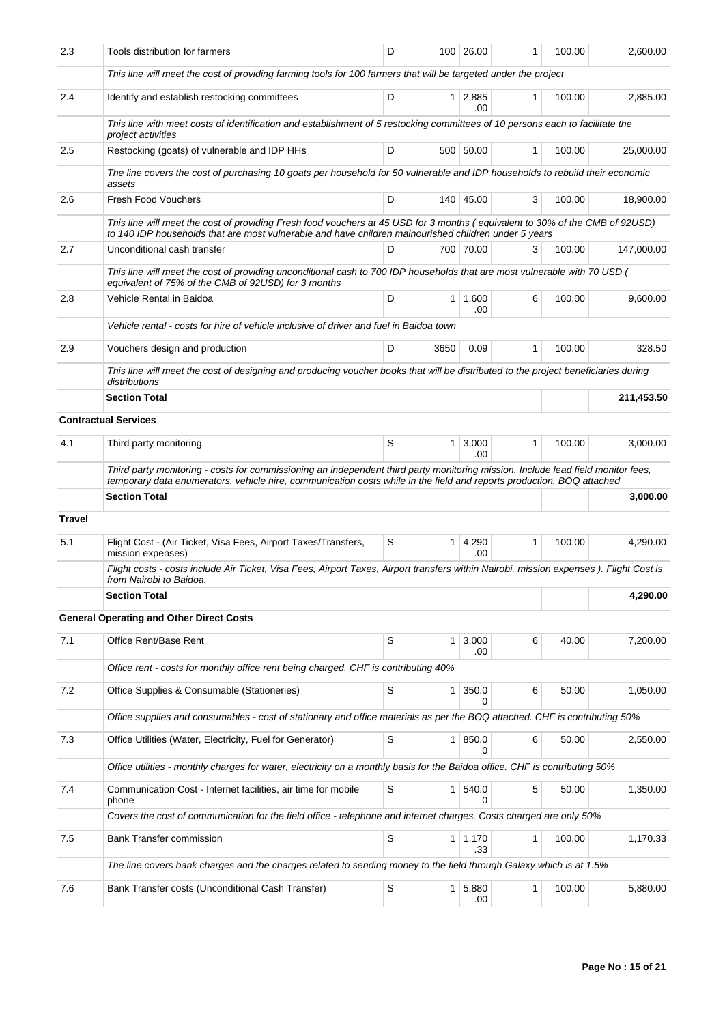| 2.3           | Tools distribution for farmers                                                                                                                                                                                                                            | D |                | 100 26.00             | 1            | 100.00 | 2,600.00   |  |  |  |
|---------------|-----------------------------------------------------------------------------------------------------------------------------------------------------------------------------------------------------------------------------------------------------------|---|----------------|-----------------------|--------------|--------|------------|--|--|--|
|               | This line will meet the cost of providing farming tools for 100 farmers that will be targeted under the project                                                                                                                                           |   |                |                       |              |        |            |  |  |  |
| 2.4           | Identify and establish restocking committees                                                                                                                                                                                                              | D |                | $1 \mid 2,885$<br>.00 | $\mathbf{1}$ | 100.00 | 2,885.00   |  |  |  |
|               | This line with meet costs of identification and establishment of 5 restocking committees of 10 persons each to facilitate the<br>project activities                                                                                                       |   |                |                       |              |        |            |  |  |  |
| 2.5           | Restocking (goats) of vulnerable and IDP HHs                                                                                                                                                                                                              | D |                | 500 50.00             | 1            | 100.00 | 25,000.00  |  |  |  |
|               | The line covers the cost of purchasing 10 goats per household for 50 vulnerable and IDP households to rebuild their economic<br>assets                                                                                                                    |   |                |                       |              |        |            |  |  |  |
| 2.6           | <b>Fresh Food Vouchers</b>                                                                                                                                                                                                                                | D |                | 140 45.00             | 3            | 100.00 | 18,900.00  |  |  |  |
|               | This line will meet the cost of providing Fresh food vouchers at 45 USD for 3 months (equivalent to 30% of the CMB of 92USD)<br>to 140 IDP households that are most vulnerable and have children malnourished children under 5 years                      |   |                |                       |              |        |            |  |  |  |
| 2.7           | Unconditional cash transfer                                                                                                                                                                                                                               | D |                | 700 70.00             | 3            | 100.00 | 147,000.00 |  |  |  |
|               | This line will meet the cost of providing unconditional cash to 700 IDP households that are most vulnerable with 70 USD (<br>equivalent of 75% of the CMB of 92USD) for 3 months                                                                          |   |                |                       |              |        |            |  |  |  |
| 2.8           | Vehicle Rental in Baidoa                                                                                                                                                                                                                                  | D | 1 <sup>1</sup> | 1,600<br>.00          | 6            | 100.00 | 9.600.00   |  |  |  |
|               | Vehicle rental - costs for hire of vehicle inclusive of driver and fuel in Baidoa town                                                                                                                                                                    |   |                |                       |              |        |            |  |  |  |
| 2.9           | Vouchers design and production                                                                                                                                                                                                                            | D | 3650           | 0.09                  | $\mathbf{1}$ | 100.00 | 328.50     |  |  |  |
|               | This line will meet the cost of designing and producing voucher books that will be distributed to the project beneficiaries during<br>distributions                                                                                                       |   |                |                       |              |        |            |  |  |  |
|               | <b>Section Total</b>                                                                                                                                                                                                                                      |   |                |                       |              |        | 211,453.50 |  |  |  |
|               | <b>Contractual Services</b>                                                                                                                                                                                                                               |   |                |                       |              |        |            |  |  |  |
| 4.1           | Third party monitoring                                                                                                                                                                                                                                    | S |                | $1 \mid 3,000$<br>.00 | 1            | 100.00 | 3,000.00   |  |  |  |
|               | Third party monitoring - costs for commissioning an independent third party monitoring mission. Include lead field monitor fees,<br>temporary data enumerators, vehicle hire, communication costs while in the field and reports production. BOQ attached |   |                |                       |              |        |            |  |  |  |
|               | <b>Section Total</b>                                                                                                                                                                                                                                      |   |                |                       |              |        | 3,000.00   |  |  |  |
| <b>Travel</b> |                                                                                                                                                                                                                                                           |   |                |                       |              |        |            |  |  |  |
| 5.1           | Flight Cost - (Air Ticket, Visa Fees, Airport Taxes/Transfers,<br>mission expenses)                                                                                                                                                                       | S | 1              | 4,290<br>.00          | $\mathbf{1}$ | 100.00 | 4,290.00   |  |  |  |
|               |                                                                                                                                                                                                                                                           |   |                |                       |              |        |            |  |  |  |
|               | Flight costs - costs include Air Ticket, Visa Fees, Airport Taxes, Airport transfers within Nairobi, mission expenses). Flight Cost is<br>from Nairobi to Baidoa.                                                                                         |   |                |                       |              |        |            |  |  |  |
|               | <b>Section Total</b>                                                                                                                                                                                                                                      |   |                |                       |              |        | 4,290.00   |  |  |  |
|               | <b>General Operating and Other Direct Costs</b>                                                                                                                                                                                                           |   |                |                       |              |        |            |  |  |  |
| 7.1           | Office Rent/Base Rent                                                                                                                                                                                                                                     | S | $\mathbf{1}$   | 3,000                 | 6            | 40.00  | 7,200.00   |  |  |  |
|               | Office rent - costs for monthly office rent being charged. CHF is contributing 40%                                                                                                                                                                        |   |                | .00.                  |              |        |            |  |  |  |
| 7.2           | Office Supplies & Consumable (Stationeries)                                                                                                                                                                                                               | S | 1              | 350.0<br>0            | 6            | 50.00  | 1,050.00   |  |  |  |
|               | Office supplies and consumables - cost of stationary and office materials as per the BOQ attached. CHF is contributing 50%                                                                                                                                |   |                |                       |              |        |            |  |  |  |
| 7.3           | Office Utilities (Water, Electricity, Fuel for Generator)                                                                                                                                                                                                 | S | $\mathbf{1}$   | 850.0                 | 6            | 50.00  | 2,550.00   |  |  |  |
|               | Office utilities - monthly charges for water, electricity on a monthly basis for the Baidoa office. CHF is contributing 50%                                                                                                                               |   |                | 0                     |              |        |            |  |  |  |
| 7.4           | Communication Cost - Internet facilities, air time for mobile                                                                                                                                                                                             | S | $\mathbf{1}$   | 540.0<br>0            | 5            | 50.00  | 1,350.00   |  |  |  |
|               | phone<br>Covers the cost of communication for the field office - telephone and internet charges. Costs charged are only 50%                                                                                                                               |   |                |                       |              |        |            |  |  |  |
| 7.5           | <b>Bank Transfer commission</b>                                                                                                                                                                                                                           | S |                | $1 \mid 1,170$        | 1            | 100.00 | 1,170.33   |  |  |  |
|               | The line covers bank charges and the charges related to sending money to the field through Galaxy which is at 1.5%                                                                                                                                        |   |                | .33                   |              |        |            |  |  |  |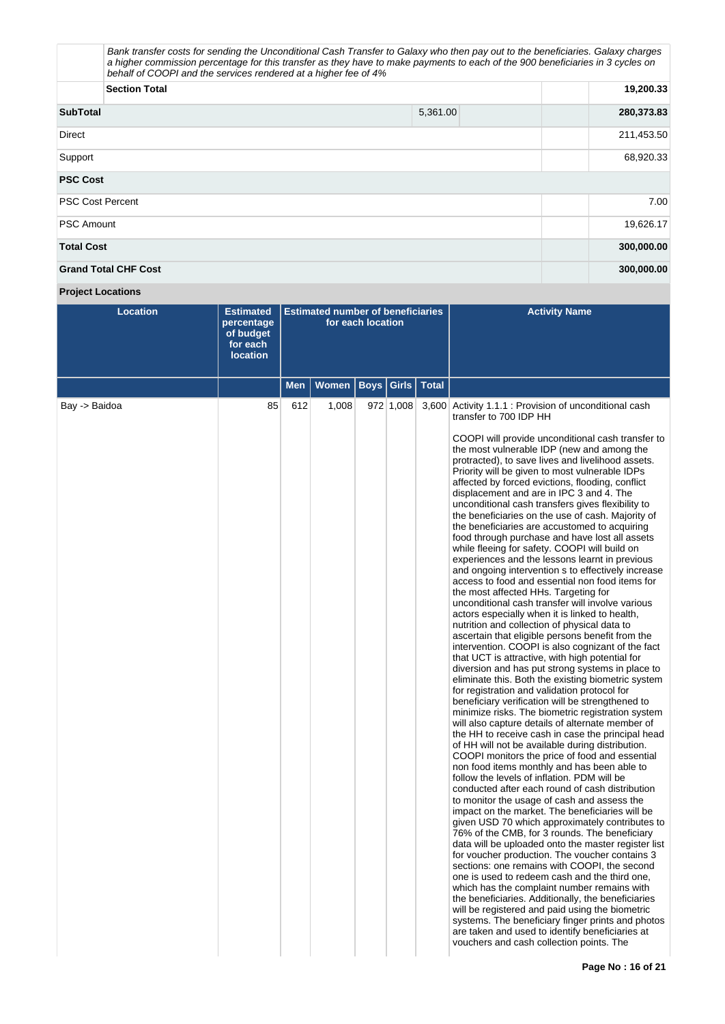| behalf of COOPI and the services rendered at a higher fee of 4% | Bank transfer costs for sending the Unconditional Cash Transfer to Galaxy who then pay out to the beneficiaries. Galaxy charges<br>a higher commission percentage for this transfer as they have to make payments to each of the 900 beneficiaries in 3 cycles on |            |
|-----------------------------------------------------------------|-------------------------------------------------------------------------------------------------------------------------------------------------------------------------------------------------------------------------------------------------------------------|------------|
| <b>Section Total</b>                                            |                                                                                                                                                                                                                                                                   | 19,200.33  |
| <b>SubTotal</b>                                                 | 5,361.00                                                                                                                                                                                                                                                          | 280,373.83 |
| Direct                                                          |                                                                                                                                                                                                                                                                   | 211,453.50 |
| Support                                                         | 68,920.33                                                                                                                                                                                                                                                         |            |
| <b>PSC Cost</b>                                                 |                                                                                                                                                                                                                                                                   |            |
| <b>PSC Cost Percent</b>                                         |                                                                                                                                                                                                                                                                   | 7.00       |
| <b>PSC Amount</b>                                               |                                                                                                                                                                                                                                                                   | 19,626.17  |
| <b>Total Cost</b>                                               |                                                                                                                                                                                                                                                                   | 300,000.00 |
| <b>Grand Total CHF Cost</b>                                     |                                                                                                                                                                                                                                                                   | 300,000.00 |

# **Project Locations**

| <b>Location</b> | <b>Estimated</b><br>percentage<br>of budget<br>for each<br><b>location</b> | <b>Estimated number of beneficiaries</b><br>for each location |                              |  |           | <b>Activity Name</b>                                                                                                                                                                                                                                                                                                                                                                                                                                                                                                                                                                                                                                                                                                                                                                                                                                                                                                                                                                                                                                                                                                                                                                                                                                                                                                                                                                                                                                                                                                                                                                                                                                                                                                                                                                                                                                                                                                                                                                                                                                                                                                                                                                                                                                                                                                                                                                                                                                                                                                                         |
|-----------------|----------------------------------------------------------------------------|---------------------------------------------------------------|------------------------------|--|-----------|----------------------------------------------------------------------------------------------------------------------------------------------------------------------------------------------------------------------------------------------------------------------------------------------------------------------------------------------------------------------------------------------------------------------------------------------------------------------------------------------------------------------------------------------------------------------------------------------------------------------------------------------------------------------------------------------------------------------------------------------------------------------------------------------------------------------------------------------------------------------------------------------------------------------------------------------------------------------------------------------------------------------------------------------------------------------------------------------------------------------------------------------------------------------------------------------------------------------------------------------------------------------------------------------------------------------------------------------------------------------------------------------------------------------------------------------------------------------------------------------------------------------------------------------------------------------------------------------------------------------------------------------------------------------------------------------------------------------------------------------------------------------------------------------------------------------------------------------------------------------------------------------------------------------------------------------------------------------------------------------------------------------------------------------------------------------------------------------------------------------------------------------------------------------------------------------------------------------------------------------------------------------------------------------------------------------------------------------------------------------------------------------------------------------------------------------------------------------------------------------------------------------------------------------|
|                 |                                                                            | Men                                                           | Women   Boys   Girls   Total |  |           |                                                                                                                                                                                                                                                                                                                                                                                                                                                                                                                                                                                                                                                                                                                                                                                                                                                                                                                                                                                                                                                                                                                                                                                                                                                                                                                                                                                                                                                                                                                                                                                                                                                                                                                                                                                                                                                                                                                                                                                                                                                                                                                                                                                                                                                                                                                                                                                                                                                                                                                                              |
| Bay -> Baidoa   | 85                                                                         | 612                                                           | 1,008                        |  | 972 1,008 | 3,600 Activity 1.1.1 : Provision of unconditional cash<br>transfer to 700 IDP HH<br>COOPI will provide unconditional cash transfer to<br>the most vulnerable IDP (new and among the<br>protracted), to save lives and livelihood assets.<br>Priority will be given to most vulnerable IDPs<br>affected by forced evictions, flooding, conflict<br>displacement and are in IPC 3 and 4. The<br>unconditional cash transfers gives flexibility to<br>the beneficiaries on the use of cash. Majority of<br>the beneficiaries are accustomed to acquiring<br>food through purchase and have lost all assets<br>while fleeing for safety. COOPI will build on<br>experiences and the lessons learnt in previous<br>and ongoing intervention s to effectively increase<br>access to food and essential non food items for<br>the most affected HHs. Targeting for<br>unconditional cash transfer will involve various<br>actors especially when it is linked to health,<br>nutrition and collection of physical data to<br>ascertain that eligible persons benefit from the<br>intervention. COOPI is also cognizant of the fact<br>that UCT is attractive, with high potential for<br>diversion and has put strong systems in place to<br>eliminate this. Both the existing biometric system<br>for registration and validation protocol for<br>beneficiary verification will be strengthened to<br>minimize risks. The biometric registration system<br>will also capture details of alternate member of<br>the HH to receive cash in case the principal head<br>of HH will not be available during distribution.<br>COOPI monitors the price of food and essential<br>non food items monthly and has been able to<br>follow the levels of inflation. PDM will be<br>conducted after each round of cash distribution<br>to monitor the usage of cash and assess the<br>impact on the market. The beneficiaries will be<br>given USD 70 which approximately contributes to<br>76% of the CMB, for 3 rounds. The beneficiary<br>data will be uploaded onto the master register list<br>for voucher production. The voucher contains 3<br>sections: one remains with COOPI, the second<br>one is used to redeem cash and the third one,<br>which has the complaint number remains with<br>the beneficiaries. Additionally, the beneficiaries<br>will be registered and paid using the biometric<br>systems. The beneficiary finger prints and photos<br>are taken and used to identify beneficiaries at<br>vouchers and cash collection points. The |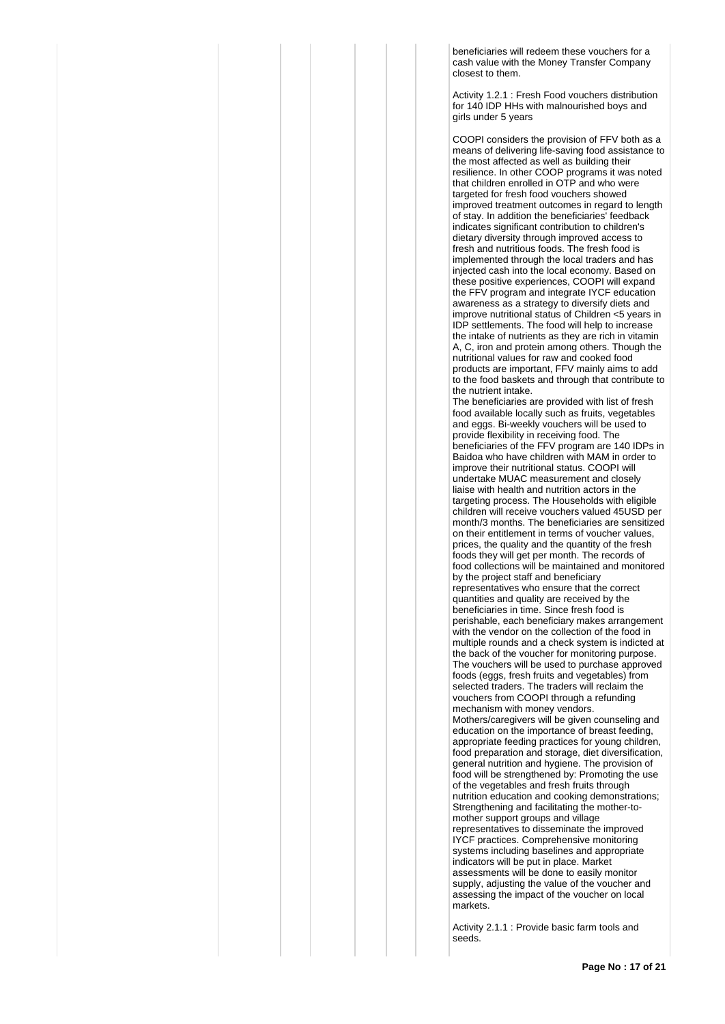beneficiaries will redeem these vouchers for a cash value with the Money Transfer Company closest to them.

Activity 1.2.1 : Fresh Food vouchers distribution for 140 IDP HHs with malnourished boys and girls under 5 years

COOPI considers the provision of FFV both as a means of delivering life-saving food assistance to the most affected as well as building their resilience. In other COOP programs it was noted that children enrolled in OTP and who were targeted for fresh food vouchers showed improved treatment outcomes in regard to length of stay. In addition the beneficiaries' feedback indicates significant contribution to children's dietary diversity through improved access to fresh and nutritious foods. The fresh food is implemented through the local traders and has injected cash into the local economy. Based on these positive experiences, COOPI will expand the FFV program and integrate IYCF education awareness as a strategy to diversify diets and improve nutritional status of Children <5 years in IDP settlements. The food will help to increase the intake of nutrients as they are rich in vitamin A, C, iron and protein among others. Though the nutritional values for raw and cooked food products are important, FFV mainly aims to add to the food baskets and through that contribute to the nutrient intake.

The beneficiaries are provided with list of fresh food available locally such as fruits, vegetables and eggs. Bi-weekly vouchers will be used to provide flexibility in receiving food. The beneficiaries of the FFV program are 140 IDPs in Baidoa who have children with MAM in order to improve their nutritional status. COOPI will undertake MUAC measurement and closely liaise with health and nutrition actors in the targeting process. The Households with eligible children will receive vouchers valued 45USD per month/3 months. The beneficiaries are sensitized on their entitlement in terms of voucher values, prices, the quality and the quantity of the fresh foods they will get per month. The records of food collections will be maintained and monitored by the project staff and beneficiary representatives who ensure that the correct quantities and quality are received by the beneficiaries in time. Since fresh food is perishable, each beneficiary makes arrangement with the vendor on the collection of the food in multiple rounds and a check system is indicted at the back of the voucher for monitoring purpose. The vouchers will be used to purchase approved foods (eggs, fresh fruits and vegetables) from selected traders. The traders will reclaim the vouchers from COOPI through a refunding mechanism with money vendors. Mothers/caregivers will be given counseling and education on the importance of breast feeding, appropriate feeding practices for young children, food preparation and storage, diet diversification, general nutrition and hygiene. The provision of food will be strengthened by: Promoting the use of the vegetables and fresh fruits through nutrition education and cooking demonstrations; Strengthening and facilitating the mother-tomother support groups and village representatives to disseminate the improved IYCF practices. Comprehensive monitoring systems including baselines and appropriate indicators will be put in place. Market assessments will be done to easily monitor supply, adjusting the value of the voucher and assessing the impact of the voucher on local markets.

Activity 2.1.1 : Provide basic farm tools and seeds.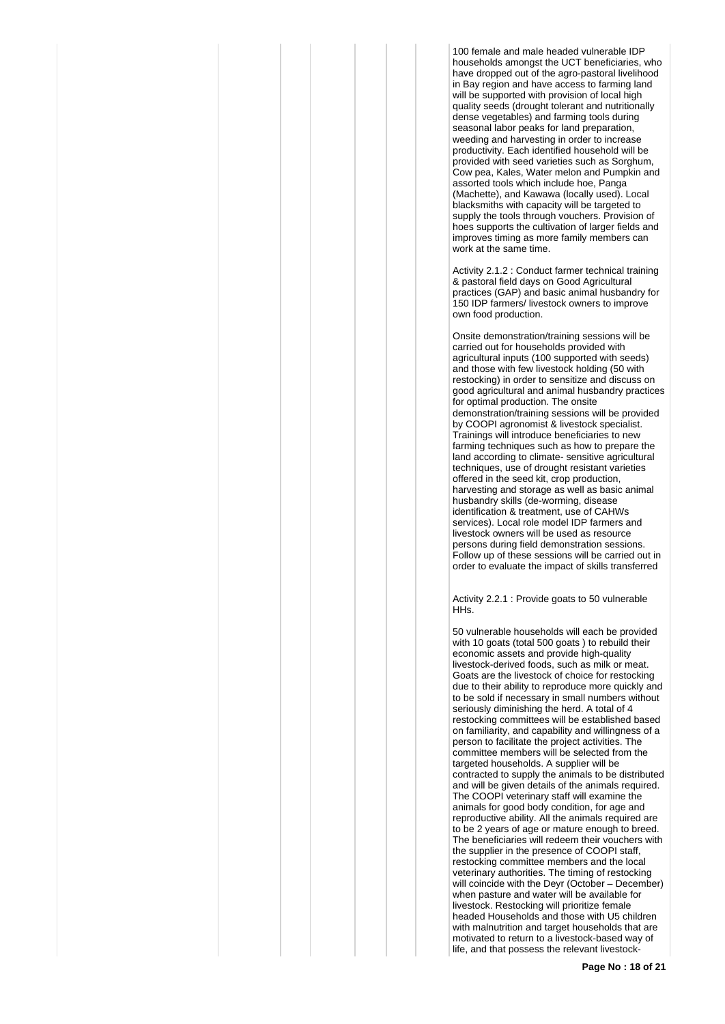100 female and male headed vulnerable IDP households amongst the UCT beneficiaries, who have dropped out of the agro-pastoral livelihood in Bay region and have access to farming land will be supported with provision of local high quality seeds (drought tolerant and nutritionally dense vegetables) and farming tools during seasonal labor peaks for land preparation, weeding and harvesting in order to increase productivity. Each identified household will be provided with seed varieties such as Sorghum, Cow pea, Kales, Water melon and Pumpkin and assorted tools which include hoe, Panga (Machette), and Kawawa (locally used). Local blacksmiths with capacity will be targeted to supply the tools through vouchers. Provision of hoes supports the cultivation of larger fields and improves timing as more family members can work at the same time.

Activity 2.1.2 : Conduct farmer technical training & pastoral field days on Good Agricultural practices (GAP) and basic animal husbandry for 150 IDP farmers/ livestock owners to improve own food production.

Onsite demonstration/training sessions will be carried out for households provided with agricultural inputs (100 supported with seeds) and those with few livestock holding (50 with restocking) in order to sensitize and discuss on good agricultural and animal husbandry practices for optimal production. The onsite demonstration/training sessions will be provided by COOPI agronomist & livestock specialist. Trainings will introduce beneficiaries to new farming techniques such as how to prepare the land according to climate- sensitive agricultural techniques, use of drought resistant varieties offered in the seed kit, crop production, harvesting and storage as well as basic animal husbandry skills (de-worming, disease identification & treatment, use of CAHWs services). Local role model IDP farmers and livestock owners will be used as resource persons during field demonstration sessions. Follow up of these sessions will be carried out in order to evaluate the impact of skills transferred

Activity 2.2.1 : Provide goats to 50 vulnerable HHs.

50 vulnerable households will each be provided with 10 goats (total 500 goats ) to rebuild their economic assets and provide high-quality livestock-derived foods, such as milk or meat. Goats are the livestock of choice for restocking due to their ability to reproduce more quickly and to be sold if necessary in small numbers without seriously diminishing the herd. A total of 4 restocking committees will be established based on familiarity, and capability and willingness of a person to facilitate the project activities. The committee members will be selected from the targeted households. A supplier will be contracted to supply the animals to be distributed and will be given details of the animals required. The COOPI veterinary staff will examine the animals for good body condition, for age and reproductive ability. All the animals required are to be 2 years of age or mature enough to breed. The beneficiaries will redeem their vouchers with the supplier in the presence of COOPI staff, restocking committee members and the local veterinary authorities. The timing of restocking will coincide with the Deyr (October - December) when pasture and water will be available for livestock. Restocking will prioritize female headed Households and those with U5 children with malnutrition and target households that are motivated to return to a livestock-based way of life, and that possess the relevant livestock-

**Page No : 18 of 21**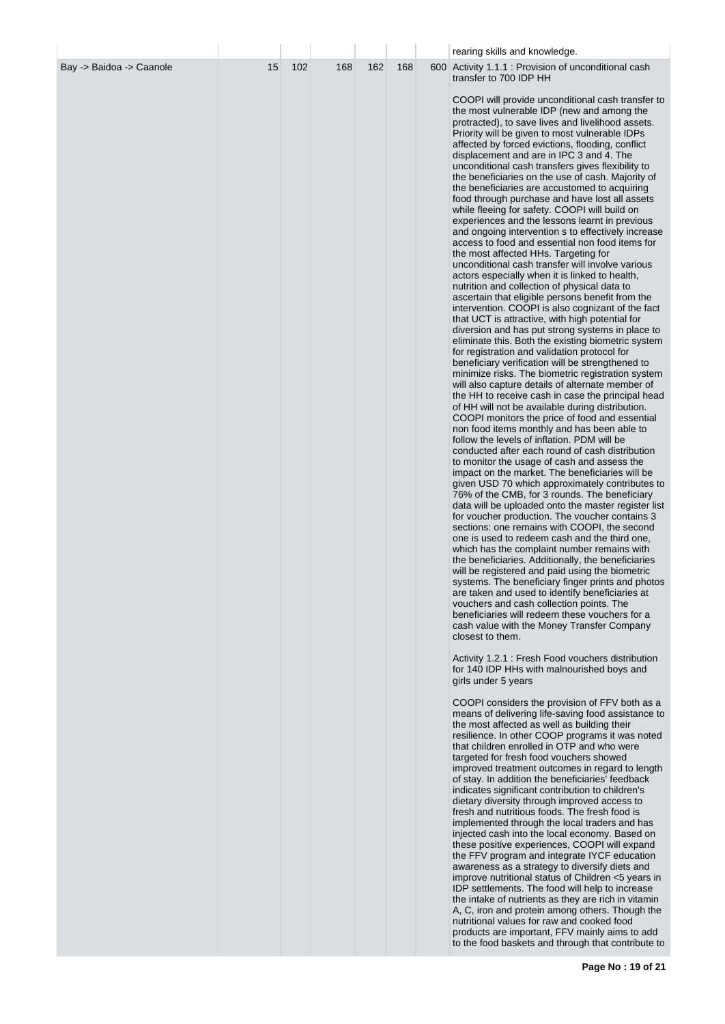|                          |    |     |     |     |     | rearing skills and knowledge.                                                                                                                                                                                                                                                                                                                                                                                                                                                                                                                                                                                                                                                                                                                                                                                                                                                                                                                                                                                                                                                                                                                                                                                                                                                                                                                                                                                                                                                                                                                                                                                                                                                                                                                                                                                                                                                                                                                                                                                                                                                                                                                                                                                                                                                                                                                                                                                                                                                                                                                                                                                                                                  |
|--------------------------|----|-----|-----|-----|-----|----------------------------------------------------------------------------------------------------------------------------------------------------------------------------------------------------------------------------------------------------------------------------------------------------------------------------------------------------------------------------------------------------------------------------------------------------------------------------------------------------------------------------------------------------------------------------------------------------------------------------------------------------------------------------------------------------------------------------------------------------------------------------------------------------------------------------------------------------------------------------------------------------------------------------------------------------------------------------------------------------------------------------------------------------------------------------------------------------------------------------------------------------------------------------------------------------------------------------------------------------------------------------------------------------------------------------------------------------------------------------------------------------------------------------------------------------------------------------------------------------------------------------------------------------------------------------------------------------------------------------------------------------------------------------------------------------------------------------------------------------------------------------------------------------------------------------------------------------------------------------------------------------------------------------------------------------------------------------------------------------------------------------------------------------------------------------------------------------------------------------------------------------------------------------------------------------------------------------------------------------------------------------------------------------------------------------------------------------------------------------------------------------------------------------------------------------------------------------------------------------------------------------------------------------------------------------------------------------------------------------------------------------------------|
| Bay -> Baidoa -> Caanole | 15 | 102 | 168 | 162 | 168 | 600 Activity 1.1.1 : Provision of unconditional cash<br>transfer to 700 IDP HH<br>COOPI will provide unconditional cash transfer to<br>the most vulnerable IDP (new and among the<br>protracted), to save lives and livelihood assets.<br>Priority will be given to most vulnerable IDPs<br>affected by forced evictions, flooding, conflict<br>displacement and are in IPC 3 and 4. The<br>unconditional cash transfers gives flexibility to<br>the beneficiaries on the use of cash. Majority of<br>the beneficiaries are accustomed to acquiring<br>food through purchase and have lost all assets<br>while fleeing for safety. COOPI will build on<br>experiences and the lessons learnt in previous<br>and ongoing intervention s to effectively increase<br>access to food and essential non food items for<br>the most affected HHs. Targeting for<br>unconditional cash transfer will involve various<br>actors especially when it is linked to health,<br>nutrition and collection of physical data to<br>ascertain that eligible persons benefit from the<br>intervention. COOPI is also cognizant of the fact<br>that UCT is attractive, with high potential for<br>diversion and has put strong systems in place to<br>eliminate this. Both the existing biometric system<br>for registration and validation protocol for<br>beneficiary verification will be strengthened to<br>minimize risks. The biometric registration system<br>will also capture details of alternate member of<br>the HH to receive cash in case the principal head<br>of HH will not be available during distribution.<br>COOPI monitors the price of food and essential<br>non food items monthly and has been able to<br>follow the levels of inflation. PDM will be<br>conducted after each round of cash distribution<br>to monitor the usage of cash and assess the<br>impact on the market. The beneficiaries will be<br>given USD 70 which approximately contributes to<br>76% of the CMB, for 3 rounds. The beneficiary<br>data will be uploaded onto the master register list<br>for voucher production. The voucher contains 3<br>sections: one remains with COOPI, the second<br>one is used to redeem cash and the third one,<br>which has the complaint number remains with<br>the beneficiaries. Additionally, the beneficiaries<br>will be registered and paid using the biometric<br>systems. The beneficiary finger prints and photos<br>are taken and used to identify beneficiaries at<br>vouchers and cash collection points. The<br>beneficiaries will redeem these vouchers for a<br>cash value with the Money Transfer Company<br>closest to them. |
|                          |    |     |     |     |     | Activity 1.2.1 : Fresh Food vouchers distribution<br>for 140 IDP HHs with malnourished boys and<br>girls under 5 years<br>COOPI considers the provision of FFV both as a<br>means of delivering life-saving food assistance to<br>the most affected as well as building their<br>resilience. In other COOP programs it was noted<br>that children enrolled in OTP and who were<br>targeted for fresh food vouchers showed<br>improved treatment outcomes in regard to length<br>of stay. In addition the beneficiaries' feedback<br>indicates significant contribution to children's<br>dietary diversity through improved access to<br>fresh and nutritious foods. The fresh food is<br>implemented through the local traders and has<br>injected cash into the local economy. Based on<br>these positive experiences, COOPI will expand<br>the FFV program and integrate IYCF education<br>awareness as a strategy to diversify diets and<br>improve nutritional status of Children <5 years in<br>IDP settlements. The food will help to increase<br>the intake of nutrients as they are rich in vitamin<br>A, C, iron and protein among others. Though the<br>nutritional values for raw and cooked food<br>products are important, FFV mainly aims to add<br>to the food baskets and through that contribute to                                                                                                                                                                                                                                                                                                                                                                                                                                                                                                                                                                                                                                                                                                                                                                                                                                                                                                                                                                                                                                                                                                                                                                                                                                                                                                                                           |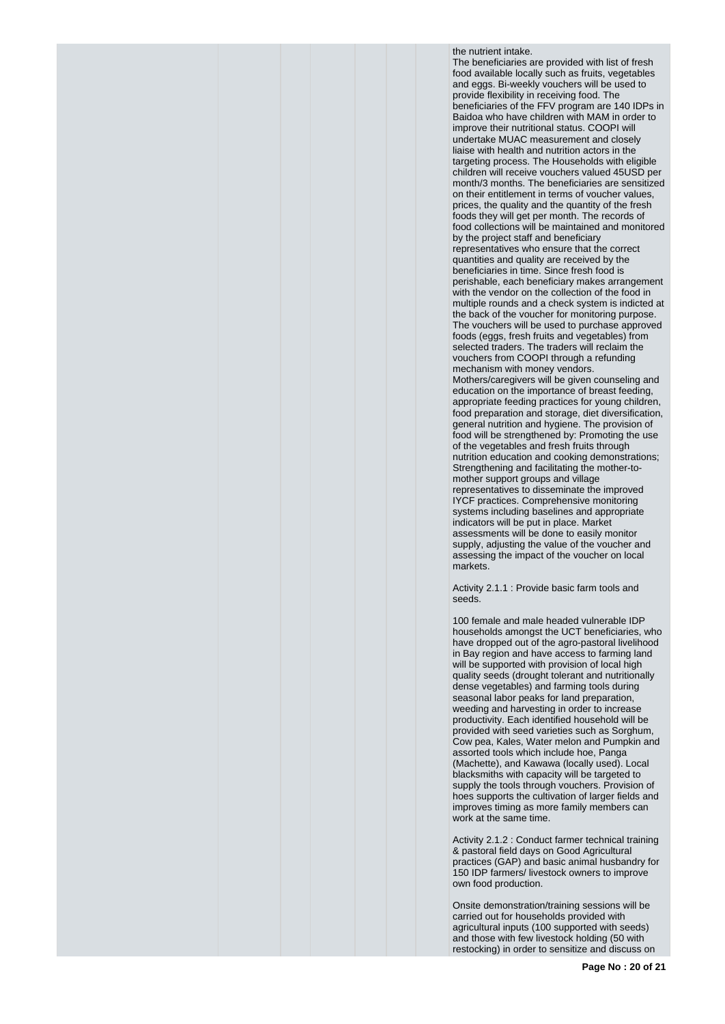the nutrient intake.

The beneficiaries are provided with list of fresh food available locally such as fruits, vegetables and eggs. Bi-weekly vouchers will be used to provide flexibility in receiving food. The beneficiaries of the FFV program are 140 IDPs in Baidoa who have children with MAM in order to improve their nutritional status. COOPI will undertake MUAC measurement and closely liaise with health and nutrition actors in the targeting process. The Households with eligible children will receive vouchers valued 45USD per month/3 months. The beneficiaries are sensitized on their entitlement in terms of voucher values, prices, the quality and the quantity of the fresh foods they will get per month. The records of food collections will be maintained and monitored by the project staff and beneficiary representatives who ensure that the correct quantities and quality are received by the beneficiaries in time. Since fresh food is perishable, each beneficiary makes arrangement with the vendor on the collection of the food in multiple rounds and a check system is indicted at the back of the voucher for monitoring purpose. The vouchers will be used to purchase approved foods (eggs, fresh fruits and vegetables) from selected traders. The traders will reclaim the vouchers from COOPI through a refunding mechanism with money vendors. Mothers/caregivers will be given counseling and education on the importance of breast feeding, appropriate feeding practices for young children, food preparation and storage, diet diversification, general nutrition and hygiene. The provision of food will be strengthened by: Promoting the use of the vegetables and fresh fruits through nutrition education and cooking demonstrations; Strengthening and facilitating the mother-tomother support groups and village representatives to disseminate the improved IYCF practices. Comprehensive monitoring systems including baselines and appropriate indicators will be put in place. Market assessments will be done to easily monitor supply, adjusting the value of the voucher and assessing the impact of the voucher on local markets.

Activity 2.1.1 : Provide basic farm tools and seeds.

100 female and male headed vulnerable IDP households amongst the UCT beneficiaries, who have dropped out of the agro-pastoral livelihood in Bay region and have access to farming land will be supported with provision of local high quality seeds (drought tolerant and nutritionally dense vegetables) and farming tools during seasonal labor peaks for land preparation, weeding and harvesting in order to increase productivity. Each identified household will be provided with seed varieties such as Sorghum, Cow pea, Kales, Water melon and Pumpkin and assorted tools which include hoe, Panga (Machette), and Kawawa (locally used). Local blacksmiths with capacity will be targeted to supply the tools through vouchers. Provision of hoes supports the cultivation of larger fields and improves timing as more family members can work at the same time.

Activity 2.1.2 : Conduct farmer technical training & pastoral field days on Good Agricultural practices (GAP) and basic animal husbandry for 150 IDP farmers/ livestock owners to improve own food production.

Onsite demonstration/training sessions will be carried out for households provided with agricultural inputs (100 supported with seeds) and those with few livestock holding (50 with restocking) in order to sensitize and discuss on